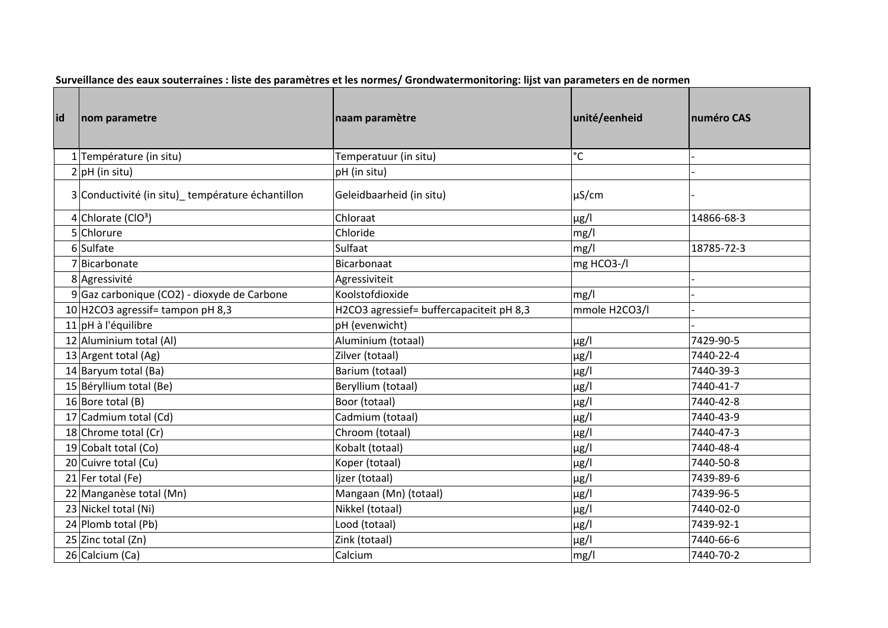| Surveillance des eaux souterraines : liste des paramètres et les normes/ Grondwatermonitoring: lijst van parameters en de normen |  |  |  |  |
|----------------------------------------------------------------------------------------------------------------------------------|--|--|--|--|
|----------------------------------------------------------------------------------------------------------------------------------|--|--|--|--|

| lid | nom parametre                                    | naam paramètre                           | unité/eenheid | numéro CAS |
|-----|--------------------------------------------------|------------------------------------------|---------------|------------|
|     | 1 Température (in situ)                          | Temperatuur (in situ)                    | $^{\circ}$ C  |            |
|     | $2 pH$ (in situ)                                 | pH (in situ)                             |               |            |
|     | 3 Conductivité (in situ) température échantillon | Geleidbaarheid (in situ)                 | $\mu$ S/cm    |            |
|     | 4 Chlorate ( $ClO3$ )                            | Chloraat                                 | $\mu$ g/l     | 14866-68-3 |
|     | 5 Chlorure                                       | Chloride                                 | mg/l          |            |
|     | 6 Sulfate                                        | Sulfaat                                  | mg/l          | 18785-72-3 |
|     | 7 Bicarbonate                                    | Bicarbonaat                              | mg HCO3-/I    |            |
|     | 8 Agressivité                                    | Agressiviteit                            |               |            |
|     | $9 $ Gaz carbonique (CO2) - dioxyde de Carbone   | Koolstofdioxide                          | mg/l          |            |
|     | 10 H2CO3 agressif = tampon pH 8,3                | H2CO3 agressief= buffercapaciteit pH 8,3 | mmole H2CO3/I |            |
|     | $11$ pH à l'équilibre                            | pH (evenwicht)                           |               |            |
|     | 12 Aluminium total (Al)                          | Aluminium (totaal)                       | $\mu$ g/l     | 7429-90-5  |
|     | 13 Argent total $(Ag)$                           | Zilver (totaal)                          | $\mu$ g/l     | 7440-22-4  |
|     | 14 Baryum total (Ba)                             | Barium (totaal)                          | $\mu$ g/l     | 7440-39-3  |
|     | 15 Béryllium total (Be)                          | Beryllium (totaal)                       | $\mu$ g/l     | 7440-41-7  |
|     | 16 Bore total (B)                                | Boor (totaal)                            | $\mu$ g/l     | 7440-42-8  |
|     | 17 Cadmium total (Cd)                            | Cadmium (totaal)                         | $\mu$ g/l     | 7440-43-9  |
|     | 18 Chrome total (Cr)                             | Chroom (totaal)                          | $\mu$ g/l     | 7440-47-3  |
|     | 19 Cobalt total (Co)                             | Kobalt (totaal)                          | $\mu$ g/l     | 7440-48-4  |
|     | 20 Cuivre total (Cu)                             | Koper (totaal)                           | $\mu$ g/l     | 7440-50-8  |
|     | 21 Fer total (Fe)                                | Ijzer (totaal)                           | $\mu$ g/l     | 7439-89-6  |
|     | 22 Manganèse total (Mn)                          | Mangaan (Mn) (totaal)                    | $\mu$ g/l     | 7439-96-5  |
|     | 23 Nickel total (Ni)                             | Nikkel (totaal)                          | $\mu$ g/l     | 7440-02-0  |
|     | 24 Plomb total (Pb)                              | Lood (totaal)                            | $\mu$ g/l     | 7439-92-1  |
|     | 25 Zinc total (Zn)                               | Zink (totaal)                            | $\mu$ g/l     | 7440-66-6  |
|     | 26 Calcium (Ca)                                  | Calcium                                  | mg/l          | 7440-70-2  |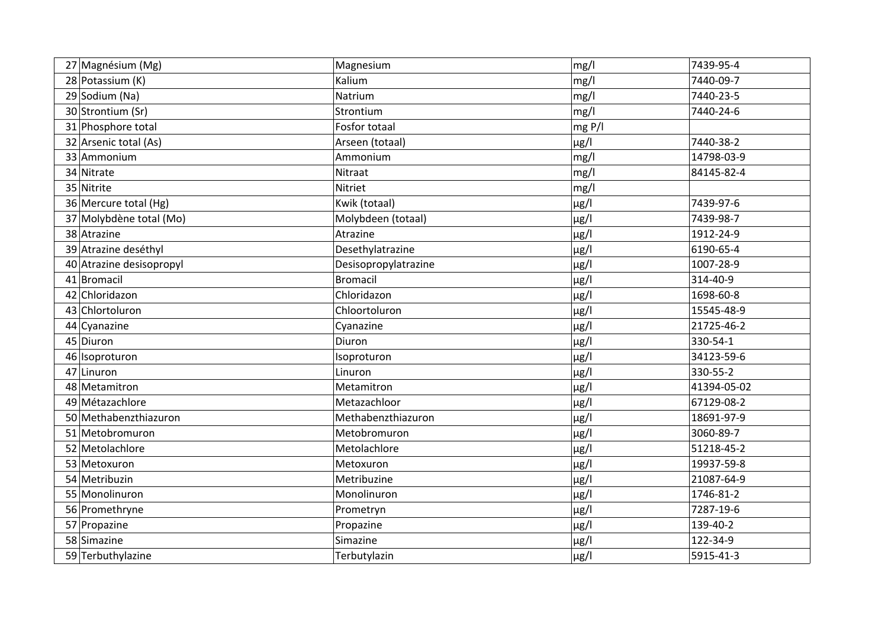| 27 Magnésium (Mg)        | Magnesium            | mg/l      | 7439-95-4   |
|--------------------------|----------------------|-----------|-------------|
| 28 Potassium (K)         | Kalium               | mg/l      | 7440-09-7   |
| 29 Sodium (Na)           | Natrium              | mg/l      | 7440-23-5   |
| 30 Strontium (Sr)        | Strontium            | mg/l      | 7440-24-6   |
| 31 Phosphore total       | Fosfor totaal        | mg P/I    |             |
| 32 Arsenic total (As)    | Arseen (totaal)      | $\mu$ g/l | 7440-38-2   |
| 33 Ammonium              | Ammonium             | mg/l      | 14798-03-9  |
| 34 Nitrate               | Nitraat              | mg/l      | 84145-82-4  |
| 35 Nitrite               | Nitriet              | mg/l      |             |
| 36 Mercure total (Hg)    | Kwik (totaal)        | $\mu$ g/l | 7439-97-6   |
| 37 Molybdène total (Mo)  | Molybdeen (totaal)   | $\mu$ g/l | 7439-98-7   |
| 38 Atrazine              | Atrazine             | $\mu$ g/l | 1912-24-9   |
| 39 Atrazine deséthyl     | Desethylatrazine     | $\mu$ g/l | 6190-65-4   |
| 40 Atrazine desisopropyl | Desisopropylatrazine | $\mu$ g/l | 1007-28-9   |
| 41 Bromacil              | <b>Bromacil</b>      | $\mu$ g/l | 314-40-9    |
| 42 Chloridazon           | Chloridazon          | $\mu$ g/l | 1698-60-8   |
| 43 Chlortoluron          | Chloortoluron        | $\mu$ g/l | 15545-48-9  |
| 44 Cyanazine             | Cyanazine            | $\mu$ g/l | 21725-46-2  |
| 45 Diuron                | Diuron               | $\mu$ g/l | 330-54-1    |
| 46 Isoproturon           | Isoproturon          | $\mu$ g/l | 34123-59-6  |
| 47 Linuron               | Linuron              | $\mu$ g/l | 330-55-2    |
| 48 Metamitron            | Metamitron           | $\mu$ g/l | 41394-05-02 |
| 49 Métazachlore          | Metazachloor         | $\mu$ g/l | 67129-08-2  |
| 50 Methabenzthiazuron    | Methabenzthiazuron   | $\mu$ g/l | 18691-97-9  |
| 51 Metobromuron          | Metobromuron         | $\mu$ g/l | 3060-89-7   |
| 52 Metolachlore          | Metolachlore         | $\mu$ g/l | 51218-45-2  |
| 53 Metoxuron             | Metoxuron            | $\mu$ g/l | 19937-59-8  |
| 54 Metribuzin            | Metribuzine          | $\mu$ g/l | 21087-64-9  |
| 55 Monolinuron           | Monolinuron          | $\mu$ g/l | 1746-81-2   |
| 56 Promethryne           | Prometryn            | $\mu$ g/l | 7287-19-6   |
| 57 Propazine             | Propazine            | $\mu$ g/l | 139-40-2    |
| 58 Simazine              | Simazine             | $\mu$ g/l | 122-34-9    |
| 59 Terbuthylazine        | Terbutylazin         | $\mu$ g/l | 5915-41-3   |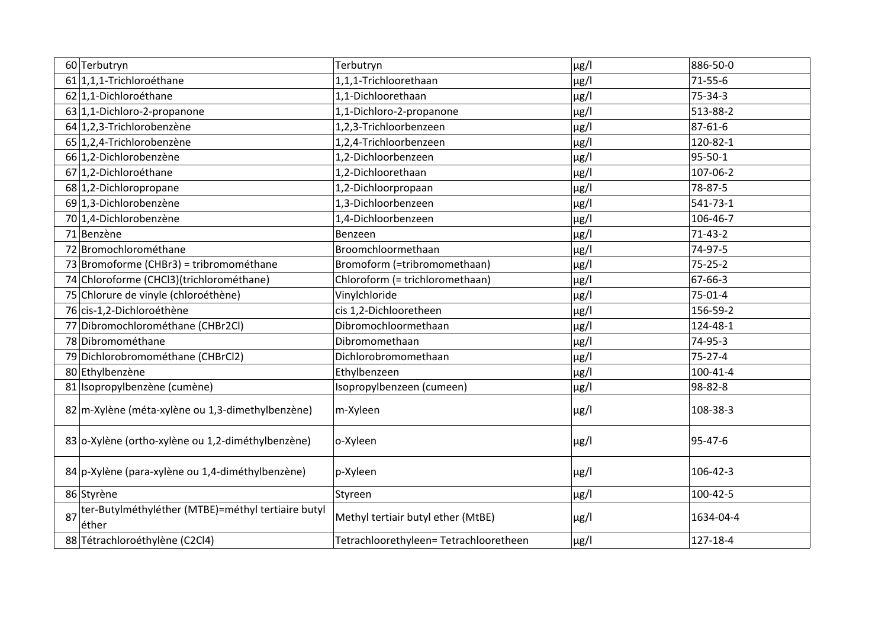|    | 60 Terbutryn                                                | Terbutryn                             | $\mu$ g/l | 886-50-0       |
|----|-------------------------------------------------------------|---------------------------------------|-----------|----------------|
|    | 61 1,1,1-Trichloroéthane                                    | 1,1,1-Trichloorethaan                 | $\mu$ g/l | $71 - 55 - 6$  |
|    | 62 1,1-Dichloroéthane                                       | 1,1-Dichloorethaan                    | $\mu$ g/l | 75-34-3        |
|    | 63 1,1-Dichloro-2-propanone                                 | 1,1-Dichloro-2-propanone              | $\mu$ g/l | 513-88-2       |
|    | 64 1,2,3-Trichlorobenzène                                   | 1,2,3-Trichloorbenzeen                | $\mu$ g/l | $87 - 61 - 6$  |
|    | 65 1,2,4-Trichlorobenzène                                   | 1,2,4-Trichloorbenzeen                | $\mu$ g/l | 120-82-1       |
|    | 66 1,2-Dichlorobenzène                                      | 1,2-Dichloorbenzeen                   | $\mu$ g/l | 95-50-1        |
|    | 67 1,2-Dichloroéthane                                       | 1,2-Dichloorethaan                    | $\mu$ g/l | 107-06-2       |
|    | 68 1,2-Dichloropropane                                      | 1,2-Dichloorpropaan                   | $\mu$ g/l | 78-87-5        |
|    | 69 1,3-Dichlorobenzène                                      | 1,3-Dichloorbenzeen                   | $\mu$ g/l | $541 - 73 - 1$ |
|    | 70 1,4-Dichlorobenzène                                      | 1,4-Dichloorbenzeen                   | $\mu$ g/l | 106-46-7       |
|    | 71 Benzène                                                  | Benzeen                               | $\mu$ g/l | $71-43-2$      |
|    | 72 Bromochlorométhane                                       | Broomchloormethaan                    | $\mu$ g/l | 74-97-5        |
|    | 73 Bromoforme (CHBr3) = tribromométhane                     | Bromoform (=tribromomethaan)          | $\mu$ g/l | $75 - 25 - 2$  |
|    | 74 Chloroforme (CHCl3) (trichlorométhane)                   | Chloroform (= trichloromethaan)       | $\mu$ g/l | 67-66-3        |
|    | 75 Chlorure de vinyle (chloroéthène)                        | Vinylchloride                         | $\mu$ g/l | 75-01-4        |
|    | 76 cis-1,2-Dichloroéthène                                   | cis 1,2-Dichlooretheen                | $\mu$ g/l | 156-59-2       |
|    | 77 Dibromochlorométhane (CHBr2Cl)                           | Dibromochloormethaan                  | $\mu$ g/l | 124-48-1       |
|    | 78 Dibromométhane                                           | Dibromomethaan                        | $\mu$ g/l | 74-95-3        |
|    | 79 Dichlorobromométhane (CHBrCl2)                           | Dichlorobromomethaan                  | $\mu$ g/l | $75 - 27 - 4$  |
|    | 80 Ethylbenzène                                             | Ethylbenzeen                          | $\mu$ g/l | 100-41-4       |
|    | 81 Isopropylbenzène (cumène)                                | Isopropylbenzeen (cumeen)             | $\mu$ g/l | 98-82-8        |
|    | 82 m-Xylène (méta-xylène ou 1,3-dimethylbenzène)            | m-Xyleen                              | $\mu$ g/l | 108-38-3       |
|    | 83 o-Xylène (ortho-xylène ou 1,2-diméthylbenzène)           | o-Xyleen                              | $\mu$ g/l | 95-47-6        |
|    | 84 p-Xylène (para-xylène ou 1,4-diméthylbenzène)            | p-Xyleen                              | $\mu$ g/l | 106-42-3       |
|    | 86 Styrène                                                  | Styreen                               | $\mu$ g/l | 100-42-5       |
| 87 | ter-Butylméthyléther (MTBE)=méthyl tertiaire butyl<br>éther | Methyl tertiair butyl ether (MtBE)    | $\mu$ g/l | 1634-04-4      |
|    | 88 Tétrachloroéthylène (C2Cl4)                              | Tetrachloorethyleen=Tetrachlooretheen | $\mu$ g/l | 127-18-4       |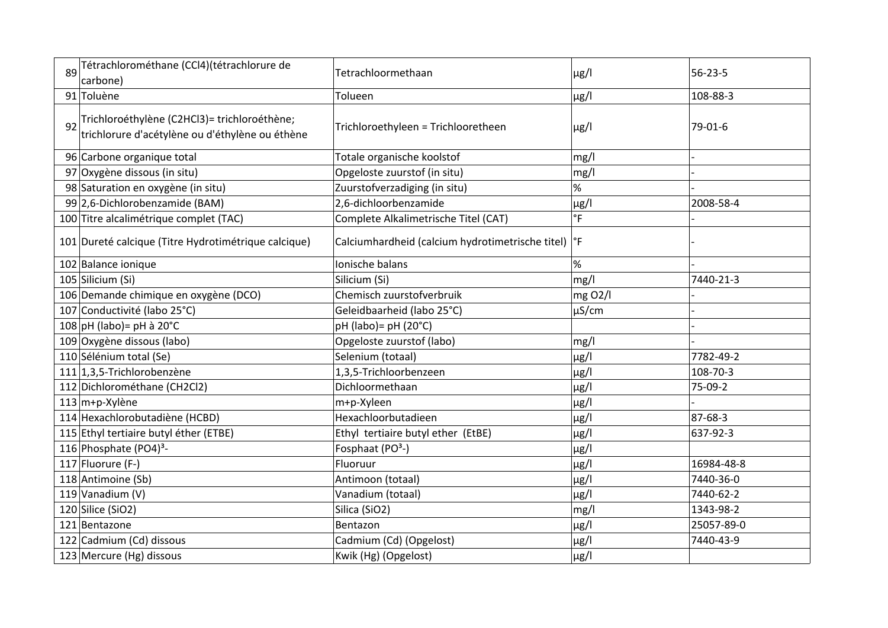| 89 | Tétrachlorométhane (CCl4)(tétrachlorure de<br>carbone)                                          | Tetrachloormethaan                                              | $\mu$ g/l   | $56 - 23 - 5$ |
|----|-------------------------------------------------------------------------------------------------|-----------------------------------------------------------------|-------------|---------------|
|    | 91 Toluène                                                                                      | Tolueen                                                         | $\mu$ g/l   | 108-88-3      |
| 92 | Trichloroéthylène (C2HCl3)= trichloroéthène;<br>trichlorure d'acétylène ou d'éthylène ou éthène | Trichloroethyleen = Trichlooretheen                             | $\mu$ g/l   | 79-01-6       |
|    | 96 Carbone organique total                                                                      | Totale organische koolstof                                      | mg/l        |               |
|    | 97 Oxygène dissous (in situ)                                                                    | Opgeloste zuurstof (in situ)                                    | mg/l        |               |
|    | 98 Saturation en oxygène (in situ)                                                              | Zuurstofverzadiging (in situ)                                   | %           |               |
|    | 99 2,6-Dichlorobenzamide (BAM)                                                                  | 2,6-dichloorbenzamide                                           | $\mu$ g/l   | 2008-58-4     |
|    | 100 Titre alcalimétrique complet (TAC)                                                          | Complete Alkalimetrische Titel (CAT)                            | $\degree$ F |               |
|    | 101 Dureté calcique (Titre Hydrotimétrique calcique)                                            | Calciumhardheid (calcium hydrotimetrische titel) <sup>e</sup> F |             |               |
|    | 102 Balance ionique                                                                             | Ionische balans                                                 | %           |               |
|    | 105 Silicium (Si)                                                                               | Silicium (Si)                                                   | mg/l        | 7440-21-3     |
|    | 106 Demande chimique en oxygène (DCO)                                                           | Chemisch zuurstofverbruik                                       | mg 02/l     |               |
|    | 107 Conductivité (labo 25°C)                                                                    | Geleidbaarheid (labo 25°C)                                      | $\mu$ S/cm  |               |
|    | $108$ pH (labo) = pH à 20°C                                                                     | $pH$ (labo) = $pH$ (20 $°C$ )                                   |             |               |
|    | 109 Oxygène dissous (labo)                                                                      | Opgeloste zuurstof (labo)                                       | mg/l        |               |
|    | 110 Sélénium total (Se)                                                                         | Selenium (totaal)                                               | $\mu$ g/l   | 7782-49-2     |
|    | 111 1,3,5-Trichlorobenzène                                                                      | 1,3,5-Trichloorbenzeen                                          | $\mu$ g/l   | 108-70-3      |
|    | 112 Dichlorométhane (CH2Cl2)                                                                    | Dichloormethaan                                                 | $\mu$ g/l   | 75-09-2       |
|    | 113 m+p-Xylène                                                                                  | m+p-Xyleen                                                      | $\mu$ g/l   |               |
|    | 114 Hexachlorobutadiène (HCBD)                                                                  | Hexachloorbutadieen                                             | $\mu$ g/l   | 87-68-3       |
|    | 115 Ethyl tertiaire butyl éther (ETBE)                                                          | Ethyl tertiaire butyl ether (EtBE)                              | $\mu$ g/l   | 637-92-3      |
|    | 116 Phosphate (PO4) <sup>3</sup> -                                                              | Fosphaat (PO <sup>3</sup> -)                                    | $\mu$ g/l   |               |
|    | 117 Fluorure (F-)                                                                               | Fluoruur                                                        | $\mu$ g/l   | 16984-48-8    |
|    | 118 Antimoine (Sb)                                                                              | Antimoon (totaal)                                               | $\mu$ g/l   | 7440-36-0     |
|    | 119 Vanadium (V)                                                                                | Vanadium (totaal)                                               | $\mu$ g/l   | 7440-62-2     |
|    | 120 Silice (SiO2)                                                                               | Silica (SiO2)                                                   | mg/l        | 1343-98-2     |
|    | 121 Bentazone                                                                                   | Bentazon                                                        | $\mu$ g/l   | 25057-89-0    |
|    | 122 Cadmium (Cd) dissous                                                                        | Cadmium (Cd) (Opgelost)                                         | $\mu$ g/l   | 7440-43-9     |
|    | 123 Mercure (Hg) dissous                                                                        | Kwik (Hg) (Opgelost)                                            | $\mu$ g/l   |               |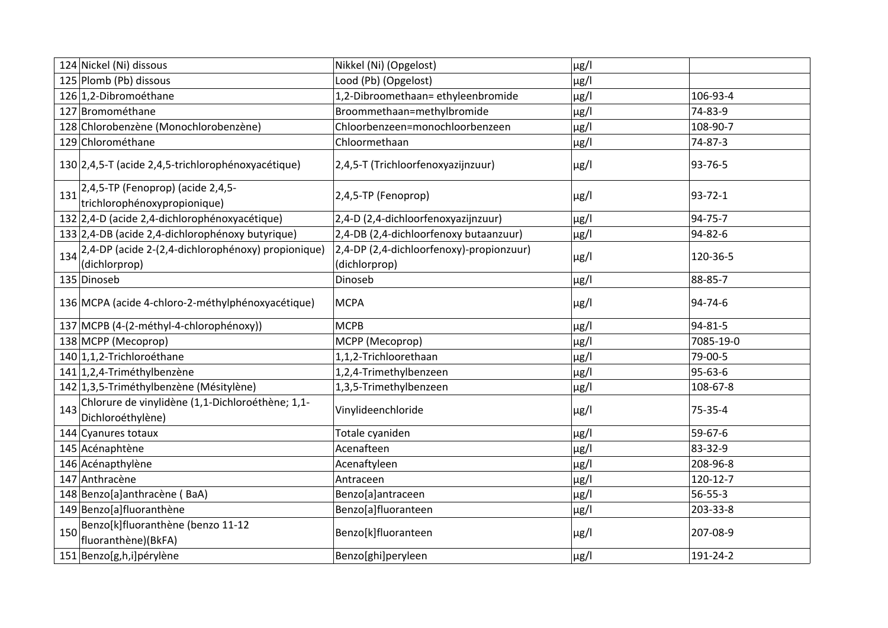|     | 124 Nickel (Ni) dissous                                                          | Nikkel (Ni) (Opgelost)                                    | $\mu$ g/l |               |
|-----|----------------------------------------------------------------------------------|-----------------------------------------------------------|-----------|---------------|
|     | 125 Plomb (Pb) dissous                                                           | Lood (Pb) (Opgelost)                                      | $\mu$ g/l |               |
|     | 126 1,2-Dibromoéthane                                                            | 1,2-Dibroomethaan=ethyleenbromide                         | $\mu$ g/l | 106-93-4      |
|     | 127 Bromométhane                                                                 | Broommethaan=methylbromide                                | $\mu$ g/l | 74-83-9       |
|     | 128 Chlorobenzène (Monochlorobenzène)                                            | Chloorbenzeen=monochloorbenzeen                           | $\mu$ g/l | 108-90-7      |
|     | 129 Chlorométhane                                                                | Chloormethaan                                             | $\mu$ g/l | 74-87-3       |
|     | 130 2,4,5-T (acide 2,4,5-trichlorophénoxyacétique)                               | 2,4,5-T (Trichloorfenoxyazijnzuur)                        | $\mu$ g/l | 93-76-5       |
|     | 131 <sup>2,4,5-TP</sup> (Fenoprop) (acide 2,4,5-<br>trichlorophénoxypropionique) | 2,4,5-TP (Fenoprop)                                       | $\mu$ g/l | $93 - 72 - 1$ |
|     | 132 2,4-D (acide 2,4-dichlorophénoxyacétique)                                    | 2,4-D (2,4-dichloorfenoxyazijnzuur)                       | $\mu$ g/l | 94-75-7       |
|     | 133 2,4-DB (acide 2,4-dichlorophénoxy butyrique)                                 | 2,4-DB (2,4-dichloorfenoxy butaanzuur)                    | $\mu$ g/l | 94-82-6       |
| 134 | 2,4-DP (acide 2-(2,4-dichlorophénoxy) propionique)<br>(dichlorprop)              | 2,4-DP (2,4-dichloorfenoxy)-propionzuur)<br>(dichlorprop) | $\mu$ g/l | 120-36-5      |
|     | 135 Dinoseb                                                                      | Dinoseb                                                   | $\mu$ g/l | 88-85-7       |
|     | 136 MCPA (acide 4-chloro-2-méthylphénoxyacétique)                                | <b>MCPA</b>                                               | $\mu$ g/l | 94-74-6       |
|     | 137 MCPB (4-(2-méthyl-4-chlorophénoxy))                                          | <b>MCPB</b>                                               | $\mu$ g/l | 94-81-5       |
|     | 138 MCPP (Mecoprop)                                                              | MCPP (Mecoprop)                                           | $\mu$ g/l | 7085-19-0     |
|     | 140 1,1,2-Trichloroéthane                                                        | 1,1,2-Trichloorethaan                                     | $\mu$ g/l | 79-00-5       |
|     | 141 1,2,4-Triméthylbenzène                                                       | 1,2,4-Trimethylbenzeen                                    | $\mu$ g/l | 95-63-6       |
|     | 142 1,3,5-Triméthylbenzène (Mésitylène)                                          | 1,3,5-Trimethylbenzeen                                    | $\mu$ g/l | 108-67-8      |
| 143 | Chlorure de vinylidène (1,1-Dichloroéthène; 1,1-<br>Dichloroéthylène)            | Vinylideenchloride                                        | $\mu$ g/l | 75-35-4       |
|     | 144 Cyanures totaux                                                              | Totale cyaniden                                           | $\mu$ g/l | 59-67-6       |
|     | 145 Acénaphtène                                                                  | Acenafteen                                                | $\mu$ g/l | 83-32-9       |
|     | 146 Acénapthylène                                                                | Acenaftyleen                                              | $\mu$ g/l | 208-96-8      |
|     | 147 Anthracène                                                                   | Antraceen                                                 | $\mu$ g/l | 120-12-7      |
|     | 148 Benzo[a]anthracène (BaA)                                                     | Benzo[a]antraceen                                         | $\mu$ g/l | $56 - 55 - 3$ |
|     | 149 Benzo[a]fluoranthène                                                         | Benzo[a]fluoranteen                                       | $\mu$ g/l | 203-33-8      |
| 150 | Benzo[k]fluoranthène (benzo 11-12<br>fluoranthène)(BkFA)                         | Benzo[k]fluoranteen                                       | $\mu$ g/l | 207-08-9      |
|     | 151 Benzo[g,h,i]pérylène                                                         | Benzo[ghi]peryleen                                        | $\mu$ g/l | 191-24-2      |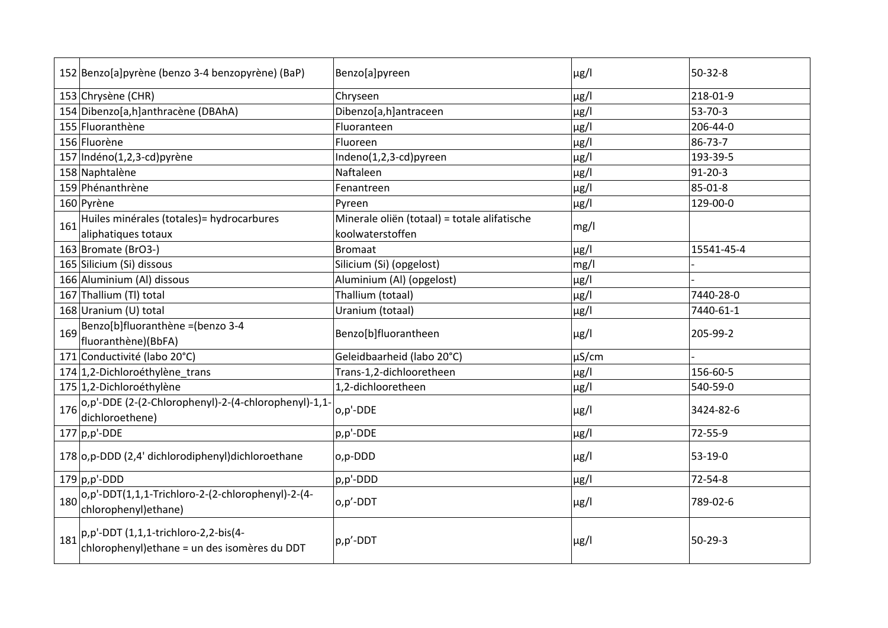| 152 Benzo[a]pyrène (benzo 3-4 benzopyrène) (BaP)                                                 | Benzo[a]pyreen                               | $\mu$ g/l  | $50-32-8$     |
|--------------------------------------------------------------------------------------------------|----------------------------------------------|------------|---------------|
| 153 Chrysène (CHR)                                                                               | Chryseen                                     | $\mu$ g/l  | 218-01-9      |
| 154 Dibenzo[a,h]anthracène (DBAhA)                                                               | Dibenzo[a,h]antraceen                        | $\mu$ g/l  | 53-70-3       |
| 155 Fluoranthène                                                                                 | Fluoranteen                                  | $\mu$ g/l  | 206-44-0      |
| 156 Fluorène                                                                                     | Fluoreen                                     | $\mu$ g/l  | 86-73-7       |
| 157 Indéno(1,2,3-cd) pyrène                                                                      | Indeno(1,2,3-cd)pyreen                       | $\mu$ g/l  | 193-39-5      |
| 158 Naphtalène                                                                                   | Naftaleen                                    | $\mu$ g/l  | 91-20-3       |
| 159 Phénanthrène                                                                                 | Fenantreen                                   | $\mu$ g/l  | 85-01-8       |
| 160 Pyrène                                                                                       | Pyreen                                       | $\mu$ g/l  | 129-00-0      |
| Huiles minérales (totales) = hydrocarbures<br>161                                                | Minerale oliën (totaal) = totale alifatische | mg/l       |               |
| aliphatiques totaux                                                                              | koolwaterstoffen                             |            |               |
| 163 Bromate (BrO3-)                                                                              | <b>Bromaat</b>                               | $\mu$ g/l  | 15541-45-4    |
| 165 Silicium (Si) dissous                                                                        | Silicium (Si) (opgelost)                     | mg/l       |               |
| 166 Aluminium (Al) dissous                                                                       | Aluminium (Al) (opgelost)                    | $\mu$ g/l  |               |
| 167 Thallium (TI) total                                                                          | Thallium (totaal)                            | $\mu$ g/l  | 7440-28-0     |
| 168 Uranium (U) total                                                                            | Uranium (totaal)                             | $\mu$ g/l  | 7440-61-1     |
| Benzo[b]fluoranthène = (benzo 3-4<br>169                                                         | Benzo[b]fluorantheen                         | $\mu$ g/l  | 205-99-2      |
| fluoranthène)(BbFA)                                                                              |                                              |            |               |
| 171 Conductivité (labo 20°C)                                                                     | Geleidbaarheid (labo 20°C)                   | $\mu$ S/cm |               |
| 174 1,2-Dichloroéthylène_trans                                                                   | Trans-1,2-dichlooretheen                     | µg/l       | 156-60-5      |
| 175 1,2-Dichloroéthylène                                                                         | 1,2-dichlooretheen                           | $\mu$ g/l  | 540-59-0      |
| o,p'-DDE (2-(2-Chlorophenyl)-2-(4-chlorophenyl)-1,1-<br>176                                      | o,p'-DDE                                     | $\mu$ g/l  | 3424-82-6     |
| dichloroethene)                                                                                  |                                              |            |               |
| $177$ p,p'-DDE                                                                                   | p,p'-DDE                                     | µg/l       | 72-55-9       |
| 178 o,p-DDD (2,4' dichlorodiphenyl) dichloroethane                                               | o,p-DDD                                      | $\mu$ g/l  | 53-19-0       |
| $179$ p,p'-DDD                                                                                   | p,p'-DDD                                     | $\mu$ g/l  | 72-54-8       |
| $ o,p'$ -DDT $(1,1,1$ -Trichloro-2- $(2$ -chlorophenyl)-2- $(4-$<br>180<br>chlorophenyl) ethane) | o,p'-DDT                                     | $\mu$ g/l  | 789-02-6      |
| $ p,p'-DDT(1,1,1-trichloro-2,2-bis(4-$<br>181<br>chlorophenyl) ethane = un des isomères du DDT   | p,p'-DDT                                     | $\mu$ g/l  | $50 - 29 - 3$ |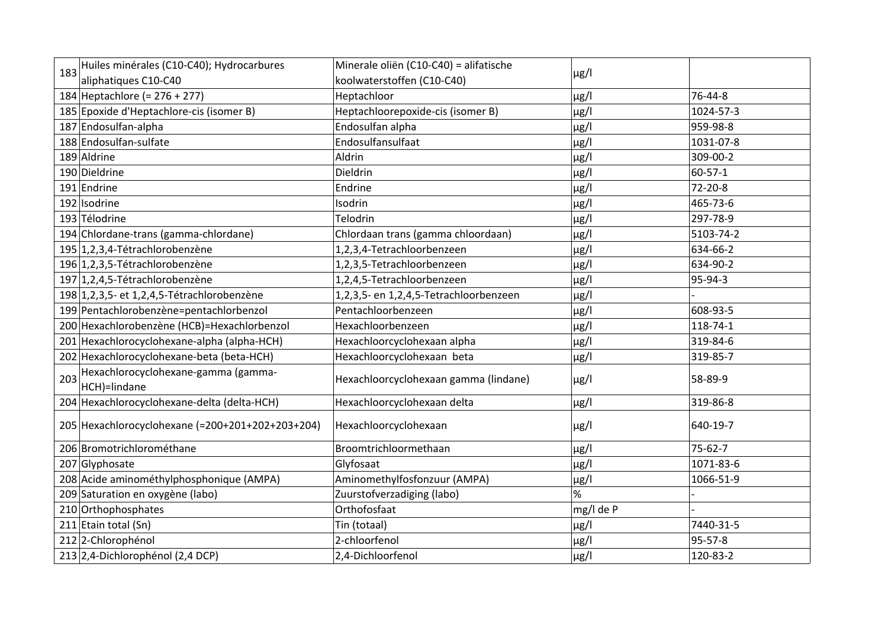| 183 | Huiles minérales (C10-C40); Hydrocarbures           | Minerale oliën (C10-C40) = alifatische |           |               |
|-----|-----------------------------------------------------|----------------------------------------|-----------|---------------|
|     | aliphatiques C10-C40                                | koolwaterstoffen (C10-C40)             | $\mu$ g/l |               |
|     | 184 Heptachlore (= 276 + 277)                       | Heptachloor                            | $\mu$ g/l | 76-44-8       |
|     | 185 Epoxide d'Heptachlore-cis (isomer B)            | Heptachloorepoxide-cis (isomer B)      | $\mu$ g/l | 1024-57-3     |
|     | 187 Endosulfan-alpha                                | Endosulfan alpha                       | $\mu$ g/l | 959-98-8      |
|     | 188 Endosulfan-sulfate                              | Endosulfansulfaat                      | $\mu$ g/l | 1031-07-8     |
|     | 189 Aldrine                                         | Aldrin                                 | $\mu$ g/l | 309-00-2      |
|     | 190 Dieldrine                                       | Dieldrin                               | $\mu$ g/l | $60 - 57 - 1$ |
|     | 191 Endrine                                         | Endrine                                | $\mu$ g/l | 72-20-8       |
|     | 192 Isodrine                                        | Isodrin                                | $\mu$ g/l | 465-73-6      |
|     | 193 Télodrine                                       | Telodrin                               | $\mu$ g/l | 297-78-9      |
|     | 194 Chlordane-trans (gamma-chlordane)               | Chlordaan trans (gamma chloordaan)     | $\mu$ g/l | 5103-74-2     |
|     | 195 1,2,3,4-Tétrachlorobenzène                      | 1,2,3,4-Tetrachloorbenzeen             | $\mu$ g/l | 634-66-2      |
|     | 196 1,2,3,5-Tétrachlorobenzène                      | 1,2,3,5-Tetrachloorbenzeen             | $\mu$ g/l | 634-90-2      |
|     | 197 1,2,4,5-Tétrachlorobenzène                      | 1,2,4,5-Tetrachloorbenzeen             | $\mu$ g/l | 95-94-3       |
|     | 198 1, 2, 3, 5 - et 1, 2, 4, 5 - Tétrachlorobenzène | 1,2,3,5- en 1,2,4,5-Tetrachloorbenzeen | $\mu$ g/l |               |
|     | 199 Pentachlorobenzène=pentachlorbenzol             | Pentachloorbenzeen                     | $\mu$ g/l | 608-93-5      |
|     | 200 Hexachlorobenzène (HCB)=Hexachlorbenzol         | Hexachloorbenzeen                      | $\mu$ g/l | 118-74-1      |
|     | 201 Hexachlorocyclohexane-alpha (alpha-HCH)         | Hexachloorcyclohexaan alpha            | $\mu$ g/l | 319-84-6      |
|     | 202 Hexachlorocyclohexane-beta (beta-HCH)           | Hexachloorcyclohexaan beta             | $\mu$ g/l | 319-85-7      |
| 203 | Hexachlorocyclohexane-gamma (gamma-<br>HCH)=lindane | Hexachloorcyclohexaan gamma (lindane)  | $\mu$ g/l | 58-89-9       |
|     | 204 Hexachlorocyclohexane-delta (delta-HCH)         | Hexachloorcyclohexaan delta            | $\mu$ g/l | 319-86-8      |
|     | 205 Hexachlorocyclohexane (=200+201+202+203+204)    | Hexachloorcyclohexaan                  | $\mu$ g/l | 640-19-7      |
|     | 206 Bromotrichlorométhane                           | Broomtrichloormethaan                  | $\mu$ g/l | $75 - 62 - 7$ |
|     | 207 Glyphosate                                      | Glyfosaat                              | $\mu$ g/l | 1071-83-6     |
|     | 208 Acide aminométhylphosphonique (AMPA)            | Aminomethylfosfonzuur (AMPA)           | $\mu$ g/l | 1066-51-9     |
|     | 209 Saturation en oxygène (labo)                    | Zuurstofverzadiging (labo)             | %         |               |
|     | 210 Orthophosphates                                 | Orthofosfaat                           | mg/l de P |               |
|     | 211 Etain total (Sn)                                | Tin (totaal)                           | $\mu$ g/l | 7440-31-5     |
|     | 212 2-Chlorophénol                                  | 2-chloorfenol                          | $\mu$ g/l | 95-57-8       |
|     | 213 2,4-Dichlorophénol (2,4 DCP)                    | 2,4-Dichloorfenol                      | $\mu$ g/l | 120-83-2      |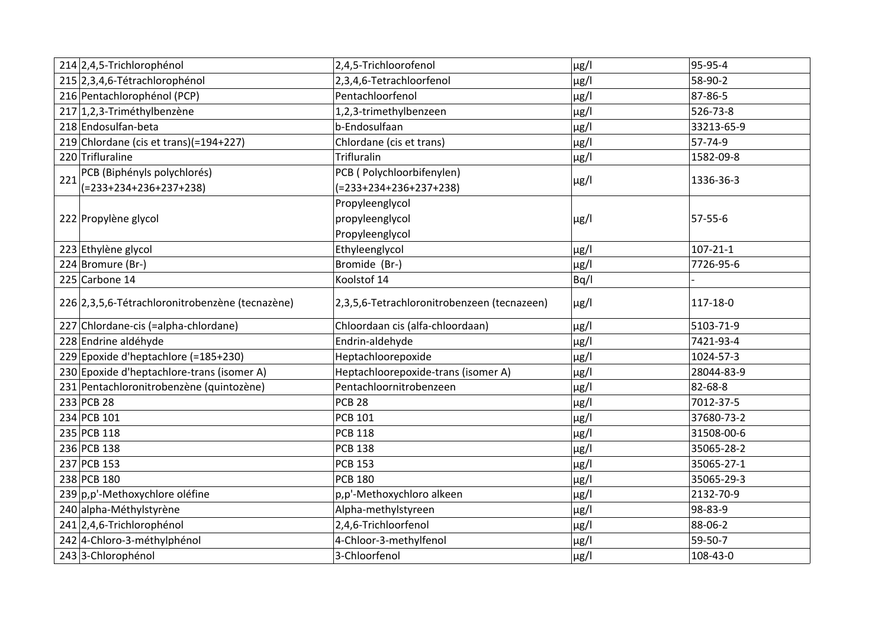|     | 214 2,4,5-Trichlorophénol                       | 2,4,5-Trichloorofenol                       | $\mu$ g/l | 95-95-4    |
|-----|-------------------------------------------------|---------------------------------------------|-----------|------------|
|     | 215 2,3,4,6-Tétrachlorophénol                   | 2,3,4,6-Tetrachloorfenol                    | µg/l      | 58-90-2    |
|     | 216 Pentachlorophénol (PCP)                     | Pentachloorfenol                            | $\mu$ g/l | 87-86-5    |
|     | 217 1,2,3-Triméthylbenzène                      | 1,2,3-trimethylbenzeen                      | $\mu$ g/l | 526-73-8   |
|     | 218 Endosulfan-beta                             | b-Endosulfaan                               | $\mu$ g/l | 33213-65-9 |
|     | 219 Chlordane (cis et trans)(=194+227)          | Chlordane (cis et trans)                    | $\mu$ g/l | 57-74-9    |
|     | 220 Trifluraline                                | Trifluralin                                 | $\mu$ g/l | 1582-09-8  |
| 221 | PCB (Biphényls polychlorés)                     | PCB ( Polychloorbifenylen)                  |           | 1336-36-3  |
|     | $(=233+234+236+237+238)$                        | (=233+234+236+237+238)                      | $\mu$ g/l |            |
|     |                                                 | Propyleenglycol                             |           |            |
|     | 222 Propylène glycol                            | propyleenglycol                             | $\mu$ g/l | 57-55-6    |
|     |                                                 | Propyleenglycol                             |           |            |
|     | 223 Ethylène glycol                             | Ethyleenglycol                              | $\mu$ g/l | 107-21-1   |
|     | 224 Bromure (Br-)                               | Bromide (Br-)                               | $\mu$ g/l | 7726-95-6  |
|     | 225 Carbone 14                                  | Koolstof 14                                 | Bq/l      |            |
|     | 226 2,3,5,6-Tétrachloronitrobenzène (tecnazène) | 2,3,5,6-Tetrachloronitrobenzeen (tecnazeen) | $\mu$ g/l | 117-18-0   |
|     | 227 Chlordane-cis (=alpha-chlordane)            | Chloordaan cis (alfa-chloordaan)            | $\mu$ g/l | 5103-71-9  |
|     | 228 Endrine aldéhyde                            | Endrin-aldehyde                             | $\mu$ g/l | 7421-93-4  |
|     | 229 Epoxide d'heptachlore (=185+230)            | Heptachloorepoxide                          | $\mu$ g/l | 1024-57-3  |
|     | 230 Epoxide d'heptachlore-trans (isomer A)      | Heptachloorepoxide-trans (isomer A)         | $\mu$ g/l | 28044-83-9 |
|     | 231 Pentachloronitrobenzène (quintozène)        | Pentachloornitrobenzeen                     | $\mu$ g/l | 82-68-8    |
|     | 233 PCB 28                                      | <b>PCB 28</b>                               | $\mu$ g/l | 7012-37-5  |
|     | 234 PCB 101                                     | <b>PCB 101</b>                              | $\mu$ g/l | 37680-73-2 |
|     | 235 PCB 118                                     | <b>PCB 118</b>                              | $\mu$ g/l | 31508-00-6 |
|     | 236 PCB 138                                     | <b>PCB 138</b>                              | $\mu$ g/l | 35065-28-2 |
|     | 237 PCB 153                                     | <b>PCB 153</b>                              | $\mu$ g/l | 35065-27-1 |
|     | 238 PCB 180                                     | <b>PCB 180</b>                              | $\mu$ g/l | 35065-29-3 |
|     | 239 p,p'-Methoxychlore oléfine                  | p,p'-Methoxychloro alkeen                   | $\mu$ g/l | 2132-70-9  |
|     | 240 alpha-Méthylstyrène                         | Alpha-methylstyreen                         | $\mu$ g/l | 98-83-9    |
|     | 241 2,4,6-Trichlorophénol                       | 2,4,6-Trichloorfenol                        | $\mu$ g/l | 88-06-2    |
|     | 242 4-Chloro-3-méthylphénol                     | 4-Chloor-3-methylfenol                      | $\mu$ g/l | 59-50-7    |
|     | 243 3-Chlorophénol                              | 3-Chloorfenol                               | $\mu$ g/l | 108-43-0   |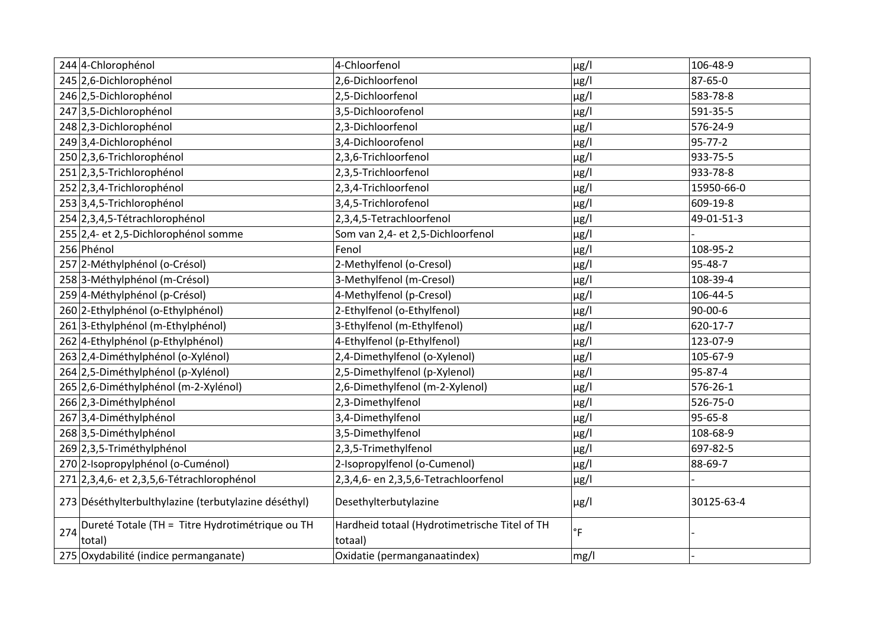|            | 244 4-Chlorophénol                                        | 4-Chloorfenol                                            | $\mu$ g/l           | 106-48-9      |
|------------|-----------------------------------------------------------|----------------------------------------------------------|---------------------|---------------|
|            | 245 2,6-Dichlorophénol                                    | 2,6-Dichloorfenol                                        | $\mu$ g/l           | 87-65-0       |
|            | 246 2,5-Dichlorophénol                                    | 2,5-Dichloorfenol                                        | $\mu$ g/l           | 583-78-8      |
|            | 247 3,5-Dichlorophénol                                    | 3,5-Dichloorofenol                                       | $\mu$ g/l           | 591-35-5      |
|            | 248 2,3-Dichlorophénol                                    | 2,3-Dichloorfenol                                        | $\mu$ g/l           | 576-24-9      |
|            | 249 3,4-Dichlorophénol                                    | 3,4-Dichloorofenol                                       | $\mu$ g/l           | $95 - 77 - 2$ |
|            | 250 2,3,6-Trichlorophénol                                 | 2,3,6-Trichloorfenol                                     | $\mu$ g/l           | 933-75-5      |
|            | 251 2,3,5-Trichlorophénol                                 | 2,3,5-Trichloorfenol                                     | $\mu$ g/l           | 933-78-8      |
|            | 252 2,3,4-Trichlorophénol                                 | 2,3,4-Trichloorfenol                                     | $\mu$ g/l           | 15950-66-0    |
|            | 253 3,4,5-Trichlorophénol                                 | 3,4,5-Trichlorofenol                                     | $\mu$ g/l           | 609-19-8      |
|            | 254 2,3,4,5-Tétrachlorophénol                             | 2,3,4,5-Tetrachloorfenol                                 | $\mu$ g/l           | 49-01-51-3    |
|            | 255 2,4- et 2,5-Dichlorophénol somme                      | Som van 2,4- et 2,5-Dichloorfenol                        | $\mu$ g/l           |               |
| 256 Phénol |                                                           | Fenol                                                    | $\mu$ g/l           | 108-95-2      |
|            | 257 2-Méthylphénol (o-Crésol)                             | 2-Methylfenol (o-Cresol)                                 | $\mu$ g/l           | 95-48-7       |
|            | 258 3-Méthylphénol (m-Crésol)                             | 3-Methylfenol (m-Cresol)                                 | $\mu$ g/l           | 108-39-4      |
|            | 259 4-Méthylphénol (p-Crésol)                             | 4-Methylfenol (p-Cresol)                                 | $\mu$ g/l           | 106-44-5      |
|            | 260 2-Ethylphénol (o-Ethylphénol)                         | 2-Ethylfenol (o-Ethylfenol)                              | $\mu$ g/l           | 90-00-6       |
|            | 261 3-Ethylphénol (m-Ethylphénol)                         | 3-Ethylfenol (m-Ethylfenol)                              | $\mu$ g/l           | 620-17-7      |
|            | 262 4-Ethylphénol (p-Ethylphénol)                         | 4-Ethylfenol (p-Ethylfenol)                              | $\mu$ g/l           | 123-07-9      |
|            | 263 2,4-Diméthylphénol (o-Xylénol)                        | 2,4-Dimethylfenol (o-Xylenol)                            | $\mu$ g/l           | 105-67-9      |
|            | 264 2,5-Diméthylphénol (p-Xylénol)                        | 2,5-Dimethylfenol (p-Xylenol)                            | $\mu$ g/l           | 95-87-4       |
|            | 265 2,6-Diméthylphénol (m-2-Xylénol)                      | 2,6-Dimethylfenol (m-2-Xylenol)                          | $\mu$ g/l           | 576-26-1      |
|            | 266 2,3-Diméthylphénol                                    | 2,3-Dimethylfenol                                        | $\mu$ g/l           | 526-75-0      |
|            | 267 3,4-Diméthylphénol                                    | 3,4-Dimethylfenol                                        | $\mu$ g/l           | 95-65-8       |
|            | 268 3,5-Diméthylphénol                                    | 3,5-Dimethylfenol                                        | $\mu$ g/l           | 108-68-9      |
|            | 269 2,3,5-Triméthylphénol                                 | 2,3,5-Trimethylfenol                                     | $\mu$ g/l           | 697-82-5      |
|            | 270 2-Isopropylphénol (o-Cuménol)                         | 2-Isopropylfenol (o-Cumenol)                             | $\mu$ g/l           | 88-69-7       |
|            | 271 2,3,4,6- et 2,3,5,6-Tétrachlorophénol                 | 2,3,4,6- en 2,3,5,6-Tetrachloorfenol                     | $\mu$ g/l           |               |
|            | 273 Déséthylterbulthylazine (terbutylazine déséthyl)      | Desethylterbutylazine                                    | $\mu$ g/l           | 30125-63-4    |
| 274        | Dureté Totale (TH = Titre Hydrotimétrique ou TH<br>total) | Hardheid totaal (Hydrotimetrische Titel of TH<br>totaal) | $^\circ \mathsf{F}$ |               |
|            | 275 Oxydabilité (indice permanganate)                     | Oxidatie (permanganaatindex)                             | mg/l                |               |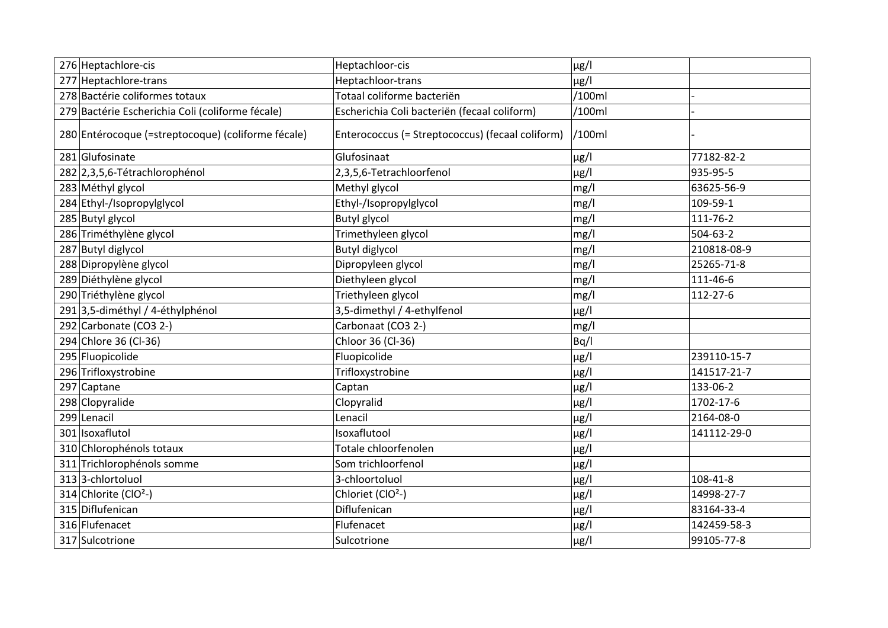| 276 Heptachlore-cis                                | Heptachloor-cis                                  | $\mu$ g/l |             |
|----------------------------------------------------|--------------------------------------------------|-----------|-------------|
| 277 Heptachlore-trans                              | Heptachloor-trans                                | $\mu$ g/l |             |
| 278 Bactérie coliformes totaux                     | Totaal coliforme bacteriën                       | /100ml    |             |
| 279 Bactérie Escherichia Coli (coliforme fécale)   | Escherichia Coli bacteriën (fecaal coliform)     | /100ml    |             |
| 280 Entérocoque (=streptocoque) (coliforme fécale) | Enterococcus (= Streptococcus) (fecaal coliform) | /100ml    |             |
| 281 Glufosinate                                    | Glufosinaat                                      | $\mu$ g/l | 77182-82-2  |
| 282 2,3,5,6-Tétrachlorophénol                      | 2,3,5,6-Tetrachloorfenol                         | $\mu$ g/l | 935-95-5    |
| 283 Méthyl glycol                                  | Methyl glycol                                    | mg/l      | 63625-56-9  |
| 284 Ethyl-/Isopropylglycol                         | Ethyl-/Isopropylglycol                           | mg/l      | 109-59-1    |
| 285 Butyl glycol                                   | <b>Butyl glycol</b>                              | mg/l      | 111-76-2    |
| 286 Triméthylène glycol                            | Trimethyleen glycol                              | mg/l      | 504-63-2    |
| 287 Butyl diglycol                                 | <b>Butyl diglycol</b>                            | mg/l      | 210818-08-9 |
| 288 Dipropylène glycol                             | Dipropyleen glycol                               | mg/l      | 25265-71-8  |
| 289 Diéthylène glycol                              | Diethyleen glycol                                | mg/l      | 111-46-6    |
| 290 Triéthylène glycol                             | Triethyleen glycol                               | mg/l      | 112-27-6    |
| 291 3,5-diméthyl / 4-éthylphénol                   | 3,5-dimethyl / 4-ethylfenol                      | $\mu$ g/l |             |
| 292 Carbonate (CO3 2-)                             | Carbonaat (CO3 2-)                               | mg/l      |             |
| 294 Chlore 36 (Cl-36)                              | Chloor 36 (Cl-36)                                | Bq/l      |             |
| 295 Fluopicolide                                   | Fluopicolide                                     | $\mu$ g/l | 239110-15-7 |
| 296 Trifloxystrobine                               | Trifloxystrobine                                 | $\mu$ g/l | 141517-21-7 |
| 297 Captane                                        | Captan                                           | $\mu$ g/l | 133-06-2    |
| 298 Clopyralide                                    | Clopyralid                                       | $\mu$ g/l | 1702-17-6   |
| 299 Lenacil                                        | Lenacil                                          | $\mu$ g/l | 2164-08-0   |
| 301 Isoxaflutol                                    | Isoxaflutool                                     | $\mu$ g/l | 141112-29-0 |
| 310 Chlorophénols totaux                           | Totale chloorfenolen                             | $\mu$ g/l |             |
| 311 Trichlorophénols somme                         | Som trichloorfenol                               | $\mu$ g/l |             |
| 313 3-chlortoluol                                  | 3-chloortoluol                                   | $\mu$ g/l | 108-41-8    |
| 314 Chlorite (ClO <sup>2</sup> -)                  | Chloriet (ClO <sup>2</sup> -)                    | $\mu$ g/l | 14998-27-7  |
| 315 Diflufenican                                   | Diflufenican                                     | $\mu$ g/l | 83164-33-4  |
| 316 Flufenacet                                     | Flufenacet                                       | $\mu$ g/l | 142459-58-3 |
| 317 Sulcotrione                                    | Sulcotrione                                      | $\mu$ g/l | 99105-77-8  |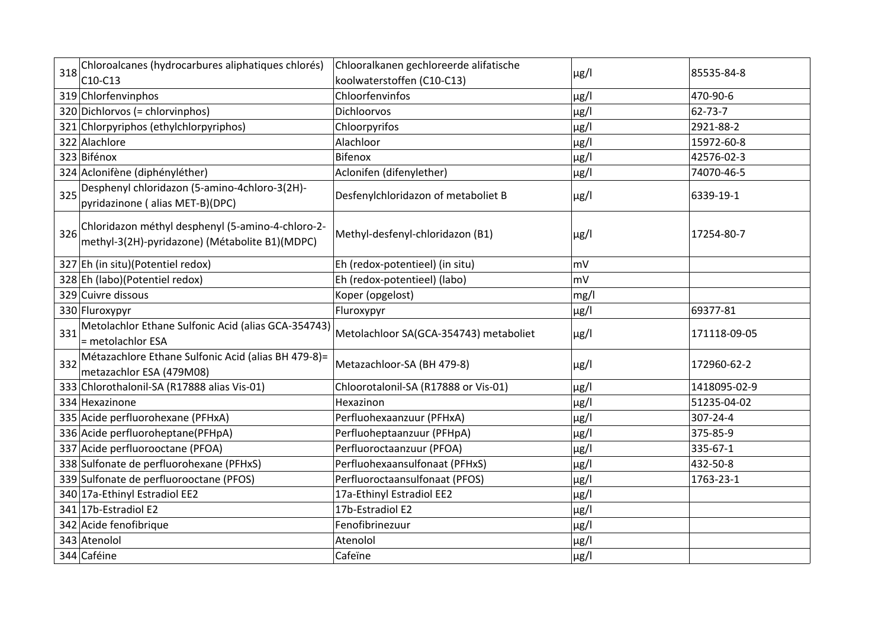| 318 | Chloroalcanes (hydrocarbures aliphatiques chlorés)                                                  | Chlooralkanen gechloreerde alifatische | $\mu$ g/l | 85535-84-8   |
|-----|-----------------------------------------------------------------------------------------------------|----------------------------------------|-----------|--------------|
|     | C10-C13                                                                                             | koolwaterstoffen (C10-C13)             |           |              |
|     | 319 Chlorfenvinphos                                                                                 | Chloorfenvinfos                        | $\mu$ g/l | 470-90-6     |
|     | 320 Dichlorvos (= chlorvinphos)                                                                     | Dichloorvos                            | µg/l      | 62-73-7      |
|     | 321 Chlorpyriphos (ethylchlorpyriphos)                                                              | Chloorpyrifos                          | $\mu$ g/l | 2921-88-2    |
|     | 322 Alachlore                                                                                       | Alachloor                              | $\mu$ g/l | 15972-60-8   |
|     | 323 Bifénox                                                                                         | <b>Bifenox</b>                         | $\mu$ g/l | 42576-02-3   |
|     | 324 Aclonifène (diphényléther)                                                                      | Aclonifen (difenylether)               | $\mu$ g/l | 74070-46-5   |
| 325 | Desphenyl chloridazon (5-amino-4chloro-3(2H)-<br>pyridazinone (alias MET-B)(DPC)                    | Desfenylchloridazon of metaboliet B    | $\mu$ g/l | 6339-19-1    |
| 326 | Chloridazon méthyl desphenyl (5-amino-4-chloro-2-<br>methyl-3(2H)-pyridazone) (Métabolite B1)(MDPC) | Methyl-desfenyl-chloridazon (B1)       | $\mu$ g/l | 17254-80-7   |
|     | 327 Eh (in situ)(Potentiel redox)                                                                   | Eh (redox-potentieel) (in situ)        | mV        |              |
|     | 328 Eh (labo)(Potentiel redox)                                                                      | Eh (redox-potentieel) (labo)           | mV        |              |
|     | 329 Cuivre dissous                                                                                  | Koper (opgelost)                       | mg/l      |              |
|     | 330 Fluroxypyr                                                                                      | Fluroxypyr                             | $\mu$ g/l | 69377-81     |
| 331 | Metolachlor Ethane Sulfonic Acid (alias GCA-354743)<br>= metolachlor ESA                            | Metolachloor SA(GCA-354743) metaboliet | $\mu$ g/l | 171118-09-05 |
| 332 | Métazachlore Ethane Sulfonic Acid (alias BH 479-8)=<br>metazachlor ESA (479M08)                     | Metazachloor-SA (BH 479-8)             | $\mu$ g/l | 172960-62-2  |
|     | 333 Chlorothalonil-SA (R17888 alias Vis-01)                                                         | Chloorotalonil-SA (R17888 or Vis-01)   | µg/l      | 1418095-02-9 |
|     | 334 Hexazinone                                                                                      | Hexazinon                              | $\mu$ g/l | 51235-04-02  |
|     | 335 Acide perfluorohexane (PFHxA)                                                                   | Perfluohexaanzuur (PFHxA)              | $\mu$ g/l | 307-24-4     |
|     | 336 Acide perfluoroheptane(PFHpA)                                                                   | Perfluoheptaanzuur (PFHpA)             | $\mu$ g/l | 375-85-9     |
|     | 337 Acide perfluorooctane (PFOA)                                                                    | Perfluoroctaanzuur (PFOA)              | $\mu$ g/l | 335-67-1     |
|     | 338 Sulfonate de perfluorohexane (PFHxS)                                                            | Perfluohexaansulfonaat (PFHxS)         | $\mu$ g/l | 432-50-8     |
|     | 339 Sulfonate de perfluorooctane (PFOS)                                                             | Perfluoroctaansulfonaat (PFOS)         | $\mu$ g/l | 1763-23-1    |
|     | 340 17a-Ethinyl Estradiol EE2                                                                       | 17a-Ethinyl Estradiol EE2              | $\mu$ g/l |              |
|     | 341 17b-Estradiol E2                                                                                | 17b-Estradiol E2                       | $\mu$ g/l |              |
|     | 342 Acide fenofibrique                                                                              | Fenofibrinezuur                        | $\mu$ g/l |              |
|     | 343 Atenolol                                                                                        | Atenolol                               | $\mu$ g/l |              |
|     | 344 Caféine                                                                                         | Cafeïne                                | $\mu$ g/l |              |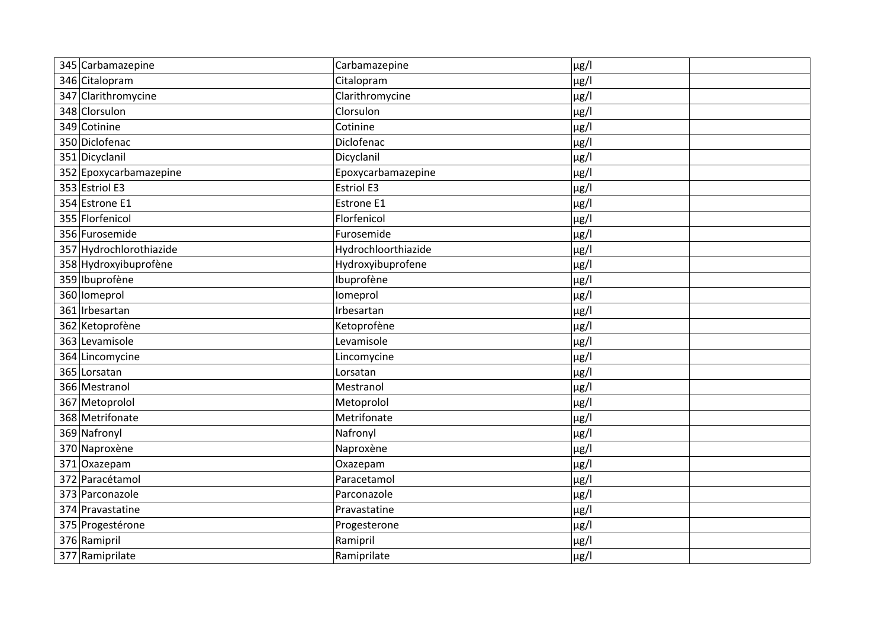| 345 Carbamazepine       | Carbamazepine       | $\mu$ g/l |
|-------------------------|---------------------|-----------|
| 346 Citalopram          | Citalopram          | $\mu$ g/l |
| 347 Clarithromycine     | Clarithromycine     | $\mu$ g/l |
| 348 Clorsulon           | Clorsulon           | $\mu$ g/l |
| 349 Cotinine            | Cotinine            | $\mu$ g/l |
| 350 Diclofenac          | Diclofenac          | µg/l      |
| 351 Dicyclanil          | Dicyclanil          | $\mu$ g/l |
| 352 Epoxycarbamazepine  | Epoxycarbamazepine  | $\mu$ g/l |
| 353 Estriol E3          | <b>Estriol E3</b>   | µg/l      |
| 354 Estrone E1          | Estrone E1          | $\mu$ g/l |
| 355 Florfenicol         | Florfenicol         | $\mu$ g/l |
| 356 Furosemide          | Furosemide          | $\mu$ g/l |
| 357 Hydrochlorothiazide | Hydrochloorthiazide | $\mu$ g/l |
| 358 Hydroxyibuprofène   | Hydroxyibuprofene   | µg/l      |
| 359 Ibuprofène          | Ibuprofène          | $\mu$ g/l |
| 360 lomeprol            | Iomeprol            | $\mu$ g/l |
| 361 Irbesartan          | Irbesartan          | µg/l      |
| 362 Ketoprofène         | Ketoprofène         | µg/l      |
| 363 Levamisole          | Levamisole          | µg/l      |
| 364 Lincomycine         | Lincomycine         | $\mu$ g/l |
| 365 Lorsatan            | Lorsatan            | µg/l      |
| 366 Mestranol           | Mestranol           | µg/l      |
| 367 Metoprolol          | Metoprolol          | µg/l      |
| 368 Metrifonate         | Metrifonate         | µg/l      |
| 369 Nafronyl            | Nafronyl            | µg/l      |
| 370 Naproxène           | Naproxène           | µg/l      |
| 371 Oxazepam            | Oxazepam            | µg/l      |
| 372 Paracétamol         | Paracetamol         | µg/l      |
| 373 Parconazole         | Parconazole         | $\mu$ g/l |
| 374 Pravastatine        | Pravastatine        | µg/l      |
| 375 Progestérone        | Progesterone        | $\mu$ g/l |
| 376 Ramipril            | Ramipril            | µg/l      |
| 377 Ramiprilate         | Ramiprilate         | µg/l      |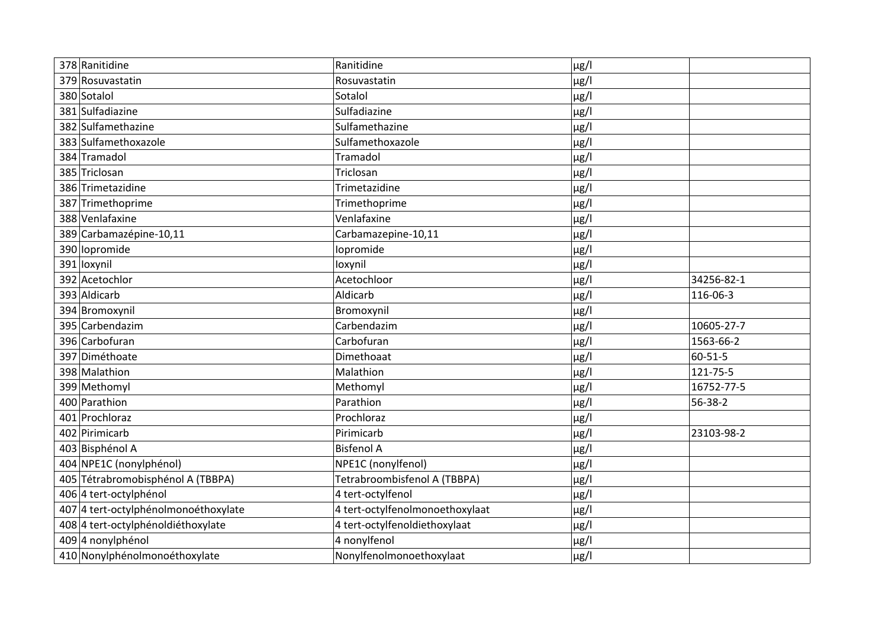| 378 Ranitidine                       | Ranitidine                      | µg/l      |            |
|--------------------------------------|---------------------------------|-----------|------------|
| 379 Rosuvastatin                     | Rosuvastatin                    | µg/l      |            |
| 380 Sotalol                          | Sotalol                         | µg/l      |            |
| 381 Sulfadiazine                     | Sulfadiazine                    | $\mu$ g/l |            |
| 382 Sulfamethazine                   | Sulfamethazine                  | $\mu$ g/l |            |
| 383 Sulfamethoxazole                 | Sulfamethoxazole                | µg/l      |            |
| 384 Tramadol                         | Tramadol                        | $\mu$ g/l |            |
| 385 Triclosan                        | Triclosan                       | µg/l      |            |
| 386 Trimetazidine                    | Trimetazidine                   | $\mu$ g/l |            |
| 387 Trimethoprime                    | Trimethoprime                   | µg/l      |            |
| 388 Venlafaxine                      | Venlafaxine                     | $\mu$ g/l |            |
| 389 Carbamazépine-10,11              | Carbamazepine-10,11             | µg/l      |            |
| 390 lopromide                        | lopromide                       | $\mu$ g/l |            |
| 391 loxynil                          | loxynil                         | µg/l      |            |
| 392 Acetochlor                       | Acetochloor                     | µg/l      | 34256-82-1 |
| 393 Aldicarb                         | Aldicarb                        | µg/l      | 116-06-3   |
| 394 Bromoxynil                       | Bromoxynil                      | $\mu$ g/l |            |
| 395 Carbendazim                      | Carbendazim                     | $\mu$ g/l | 10605-27-7 |
| 396 Carbofuran                       | Carbofuran                      | $\mu$ g/l | 1563-66-2  |
| 397 Diméthoate                       | Dimethoaat                      | $\mu$ g/l | 60-51-5    |
| 398 Malathion                        | Malathion                       | $\mu$ g/l | 121-75-5   |
| 399 Methomyl                         | Methomyl                        | µg/l      | 16752-77-5 |
| 400 Parathion                        | Parathion                       | $\mu$ g/l | 56-38-2    |
| 401 Prochloraz                       | Prochloraz                      | µg/l      |            |
| 402 Pirimicarb                       | Pirimicarb                      | $\mu$ g/l | 23103-98-2 |
| 403 Bisphénol A                      | <b>Bisfenol A</b>               | µg/l      |            |
| 404 NPE1C (nonylphénol)              | NPE1C (nonylfenol)              | $\mu$ g/l |            |
| 405 Tétrabromobisphénol A (TBBPA)    | Tetrabroombisfenol A (TBBPA)    | µg/l      |            |
| 406 4 tert-octylphénol               | 4 tert-octylfenol               | $\mu$ g/l |            |
| 407 4 tert-octylphénolmonoéthoxylate | 4 tert-octylfenolmonoethoxylaat | $\mu$ g/l |            |
| 408 4 tert-octylphénoldiéthoxylate   | 4 tert-octylfenoldiethoxylaat   | $\mu$ g/l |            |
| 409 4 nonylphénol                    | 4 nonylfenol                    | $\mu$ g/l |            |
| 410 Nonylphénolmonoéthoxylate        | Nonylfenolmonoethoxylaat        | $\mu$ g/l |            |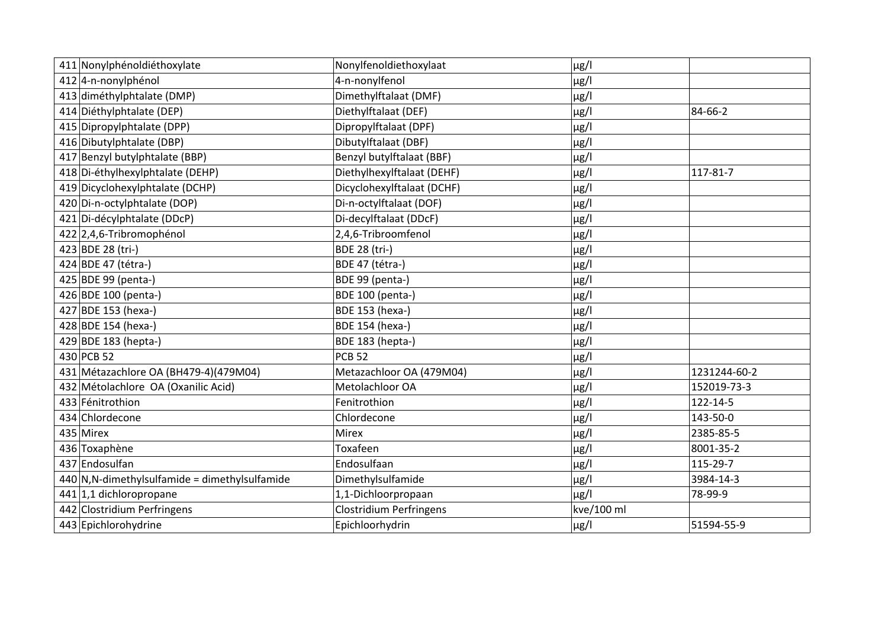| 411 Nonylphénoldiéthoxylate                     | Nonylfenoldiethoxylaat         | $\mu$ g/l  |              |
|-------------------------------------------------|--------------------------------|------------|--------------|
| 412 4-n-nonylphénol                             | 4-n-nonylfenol                 | $\mu$ g/l  |              |
| 413 diméthylphtalate (DMP)                      | Dimethylftalaat (DMF)          | $\mu$ g/l  |              |
| 414 Diéthylphtalate (DEP)                       | Diethylftalaat (DEF)           | $\mu$ g/l  | 84-66-2      |
| 415 Dipropylphtalate (DPP)                      | Dipropylftalaat (DPF)          | $\mu$ g/l  |              |
| 416 Dibutylphtalate (DBP)                       | Dibutylftalaat (DBF)           | $\mu$ g/l  |              |
| 417 Benzyl butylphtalate (BBP)                  | Benzyl butylftalaat (BBF)      | $\mu$ g/l  |              |
| 418 Di-éthylhexylphtalate (DEHP)                | Diethylhexylftalaat (DEHF)     | $\mu$ g/l  | 117-81-7     |
| 419 Dicyclohexylphtalate (DCHP)                 | Dicyclohexylftalaat (DCHF)     | $\mu$ g/l  |              |
| 420 Di-n-octylphtalate (DOP)                    | Di-n-octylftalaat (DOF)        | $\mu$ g/l  |              |
| 421 Di-décylphtalate (DDcP)                     | Di-decylftalaat (DDcF)         | $\mu$ g/l  |              |
| 422 2,4,6-Tribromophénol                        | 2,4,6-Tribroomfenol            | $\mu$ g/l  |              |
| 423 BDE 28 (tri-)                               | <b>BDE 28 (tri-)</b>           | $\mu$ g/l  |              |
| 424 BDE 47 (tétra-)                             | BDE 47 (tétra-)                | $\mu$ g/l  |              |
| 425 BDE 99 (penta-)                             | BDE 99 (penta-)                | $\mu$ g/l  |              |
| 426 BDE 100 (penta-)                            | <b>BDE 100 (penta-)</b>        | $\mu$ g/l  |              |
| 427 BDE 153 (hexa-)                             | <b>BDE 153 (hexa-)</b>         | $\mu$ g/l  |              |
| 428 BDE 154 (hexa-)                             | <b>BDE 154 (hexa-)</b>         | $\mu$ g/l  |              |
| 429 BDE 183 (hepta-)                            | BDE 183 (hepta-)               | $\mu$ g/l  |              |
| 430 PCB 52                                      | <b>PCB 52</b>                  | $\mu$ g/l  |              |
| 431 Métazachlore OA (BH479-4)(479M04)           | Metazachloor OA (479M04)       | $\mu$ g/l  | 1231244-60-2 |
| 432 Métolachlore OA (Oxanilic Acid)             | Metolachloor OA                | $\mu$ g/l  | 152019-73-3  |
| 433 Fénitrothion                                | Fenitrothion                   | $\mu$ g/l  | 122-14-5     |
| 434 Chlordecone                                 | Chlordecone                    | $\mu$ g/l  | 143-50-0     |
| 435 Mirex                                       | Mirex                          | $\mu$ g/l  | 2385-85-5    |
| 436 Toxaphène                                   | Toxafeen                       | $\mu$ g/l  | 8001-35-2    |
| 437 Endosulfan                                  | Endosulfaan                    | $\mu$ g/l  | 115-29-7     |
| $440$ N,N-dimethylsulfamide = dimethylsulfamide | Dimethylsulfamide              | $\mu$ g/l  | 3984-14-3    |
| 441 1,1 dichloropropane                         | 1,1-Dichloorpropaan            | $\mu$ g/l  | 78-99-9      |
| 442 Clostridium Perfringens                     | <b>Clostridium Perfringens</b> | kve/100 ml |              |
| 443 Epichlorohydrine                            | Epichloorhydrin                | $\mu$ g/l  | 51594-55-9   |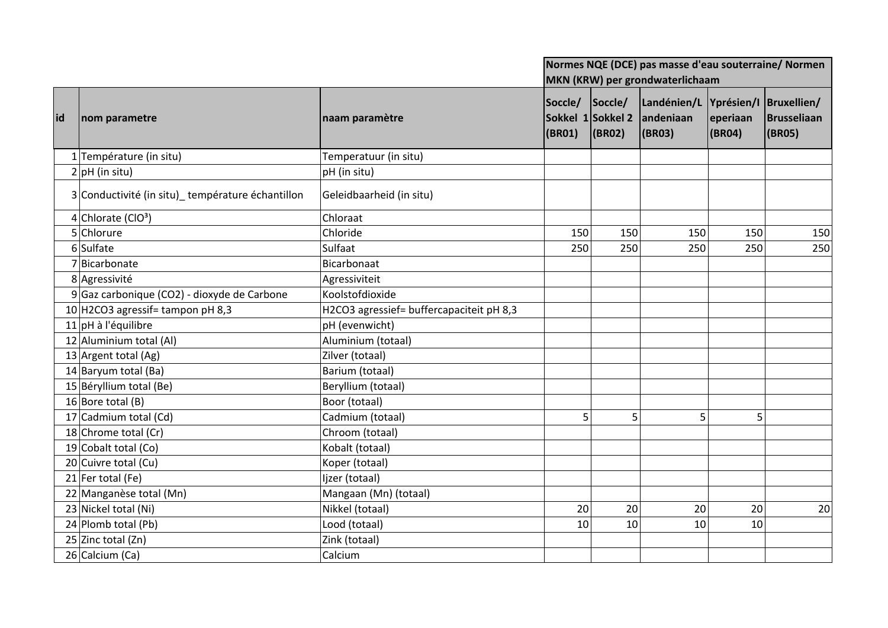|     |                                                  |                                          | Normes NQE (DCE) pas masse d'eau souterraine/ Normen |                   |                                               |                    |                                      |
|-----|--------------------------------------------------|------------------------------------------|------------------------------------------------------|-------------------|-----------------------------------------------|--------------------|--------------------------------------|
|     |                                                  |                                          | MKN (KRW) per grondwaterlichaam                      |                   |                                               |                    |                                      |
| lid | nom parametre                                    | naam paramètre                           | Soccle/<br>Sokkel 1Sokkel 2<br>(BR01)                | Soccle/<br>(BR02) | Landénien/L Yprésien/I<br>andeniaan<br>(BR03) | eperiaan<br>(BRO4) | Bruxellien/<br>Brusseliaan<br>(BR05) |
|     | 1 Température (in situ)                          | Temperatuur (in situ)                    |                                                      |                   |                                               |                    |                                      |
|     | $2 pH$ (in situ)                                 | pH (in situ)                             |                                                      |                   |                                               |                    |                                      |
|     | 3 Conductivité (in situ) température échantillon | Geleidbaarheid (in situ)                 |                                                      |                   |                                               |                    |                                      |
|     | 4 Chlorate ( $ClO3$ )                            | Chloraat                                 |                                                      |                   |                                               |                    |                                      |
|     | 5 Chlorure                                       | Chloride                                 | 150                                                  | 150               | 150                                           | 150                | 150                                  |
|     | 6 Sulfate                                        | Sulfaat                                  | 250                                                  | 250               | 250                                           | 250                | 250                                  |
|     | 7 Bicarbonate                                    | Bicarbonaat                              |                                                      |                   |                                               |                    |                                      |
|     | 8 Agressivité                                    | Agressiviteit                            |                                                      |                   |                                               |                    |                                      |
|     | 9 Gaz carbonique (CO2) - dioxyde de Carbone      | Koolstofdioxide                          |                                                      |                   |                                               |                    |                                      |
|     | 10 H2CO3 agressif = tampon pH 8,3                | H2CO3 agressief= buffercapaciteit pH 8,3 |                                                      |                   |                                               |                    |                                      |
|     | $11$ pH à l'équilibre                            | pH (evenwicht)                           |                                                      |                   |                                               |                    |                                      |
|     | 12 Aluminium total (Al)                          | Aluminium (totaal)                       |                                                      |                   |                                               |                    |                                      |
|     | 13 Argent total (Ag)                             | Zilver (totaal)                          |                                                      |                   |                                               |                    |                                      |
|     | 14 Baryum total (Ba)                             | Barium (totaal)                          |                                                      |                   |                                               |                    |                                      |
|     | 15 Béryllium total (Be)                          | Beryllium (totaal)                       |                                                      |                   |                                               |                    |                                      |
|     | 16 Bore total (B)                                | Boor (totaal)                            |                                                      |                   |                                               |                    |                                      |
|     | 17 Cadmium total (Cd)                            | Cadmium (totaal)                         | 5                                                    | 5                 | 5                                             | 5                  |                                      |
|     | 18 Chrome total (Cr)                             | Chroom (totaal)                          |                                                      |                   |                                               |                    |                                      |
|     | 19 Cobalt total (Co)                             | Kobalt (totaal)                          |                                                      |                   |                                               |                    |                                      |
|     | 20 Cuivre total (Cu)                             | Koper (totaal)                           |                                                      |                   |                                               |                    |                                      |
|     | 21 Fer total (Fe)                                | Ijzer (totaal)                           |                                                      |                   |                                               |                    |                                      |
|     | 22 Manganèse total (Mn)                          | Mangaan (Mn) (totaal)                    |                                                      |                   |                                               |                    |                                      |
|     | 23 Nickel total (Ni)                             | Nikkel (totaal)                          | 20                                                   | 20                | 20                                            | 20                 | 20                                   |
|     | 24 Plomb total (Pb)                              | Lood (totaal)                            | 10                                                   | 10                | 10                                            | 10 <sup>1</sup>    |                                      |
|     | 25 Zinc total (Zn)                               | Zink (totaal)                            |                                                      |                   |                                               |                    |                                      |
|     | 26 Calcium (Ca)                                  | Calcium                                  |                                                      |                   |                                               |                    |                                      |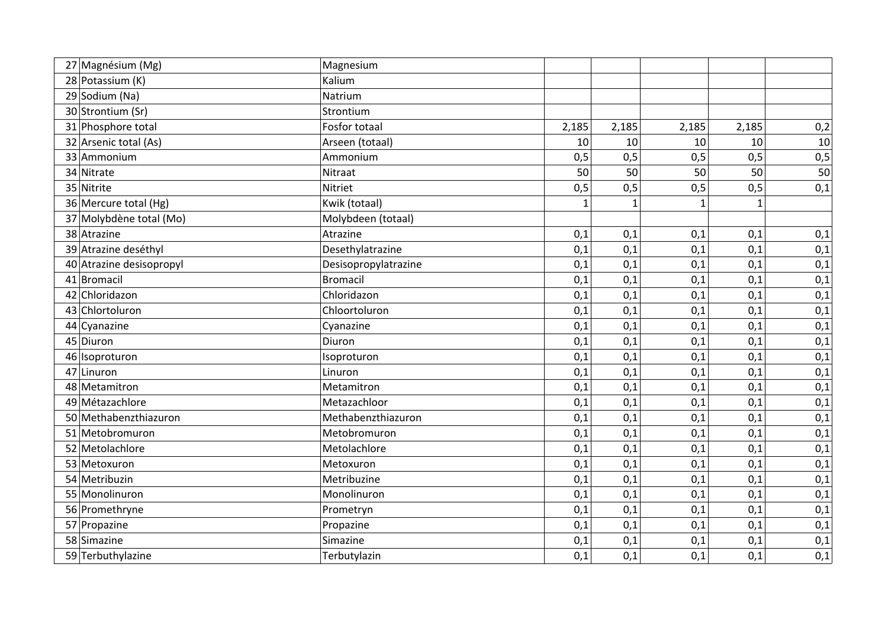| 27 Magnésium (Mg)        | Magnesium            |              |       |       |              |     |
|--------------------------|----------------------|--------------|-------|-------|--------------|-----|
| 28 Potassium (K)         | Kalium               |              |       |       |              |     |
| 29 Sodium (Na)           | Natrium              |              |       |       |              |     |
| 30 Strontium (Sr)        | Strontium            |              |       |       |              |     |
| 31 Phosphore total       | Fosfor totaal        | 2,185        | 2,185 | 2,185 | 2,185        | 0,2 |
| 32 Arsenic total (As)    | Arseen (totaal)      | 10           | 10    | 10    | 10           | 10  |
| 33 Ammonium              | Ammonium             | 0,5          | 0,5   | 0,5   | 0,5          | 0,5 |
| 34 Nitrate               | Nitraat              | 50           | 50    | 50    | 50           | 50  |
| 35 Nitrite               | Nitriet              | 0,5          | 0,5   | 0,5   | 0,5          | 0,1 |
| 36 Mercure total (Hg)    | Kwik (totaal)        | $\mathbf{1}$ |       |       | $\mathbf{1}$ |     |
| 37 Molybdène total (Mo)  | Molybdeen (totaal)   |              |       |       |              |     |
| 38 Atrazine              | Atrazine             | 0,1          | 0,1   | 0,1   | 0,1          | 0,1 |
| 39 Atrazine deséthyl     | Desethylatrazine     | 0,1          | 0,1   | 0,1   | 0,1          | 0,1 |
| 40 Atrazine desisopropyl | Desisopropylatrazine | 0,1          | 0,1   | 0,1   | 0,1          | 0,1 |
| 41 Bromacil              | <b>Bromacil</b>      | 0,1          | 0,1   | 0,1   | 0,1          | 0,1 |
| 42 Chloridazon           | Chloridazon          | 0,1          | 0,1   | 0,1   | 0,1          | 0,1 |
| 43 Chlortoluron          | Chloortoluron        | 0,1          | 0,1   | 0,1   | 0,1          | 0,1 |
| 44 Cyanazine             | Cyanazine            | 0,1          | 0,1   | 0,1   | 0,1          | 0,1 |
| 45 Diuron                | Diuron               | 0,1          | 0,1   | 0,1   | 0,1          | 0,1 |
| 46 Isoproturon           | Isoproturon          | 0,1          | 0,1   | 0,1   | 0,1          | 0,1 |
| 47 Linuron               | Linuron              | 0,1          | 0,1   | 0,1   | 0,1          | 0,1 |
| 48 Metamitron            | Metamitron           | 0,1          | 0,1   | 0,1   | 0,1          | 0,1 |
| 49 Métazachlore          | Metazachloor         | 0,1          | 0,1   | 0,1   | 0,1          | 0,1 |
| 50 Methabenzthiazuron    | Methabenzthiazuron   | 0,1          | 0,1   | 0,1   | 0,1          | 0,1 |
| 51 Metobromuron          | Metobromuron         | 0,1          | 0,1   | 0,1   | 0,1          | 0,1 |
| 52 Metolachlore          | Metolachlore         | 0,1          | 0,1   | 0,1   | 0,1          | 0,1 |
| 53 Metoxuron             | Metoxuron            | 0,1          | 0,1   | 0,1   | 0,1          | 0,1 |
| 54 Metribuzin            | Metribuzine          | 0,1          | 0,1   | 0,1   | 0,1          | 0,1 |
| 55 Monolinuron           | Monolinuron          | 0,1          | 0,1   | 0,1   | 0,1          | 0,1 |
| 56 Promethryne           | Prometryn            | 0,1          | 0,1   | 0,1   | 0,1          | 0,1 |
| 57 Propazine             | Propazine            | 0,1          | 0,1   | 0,1   | 0,1          | 0,1 |
| 58 Simazine              | Simazine             | 0,1          | 0,1   | 0,1   | 0,1          | 0,1 |
| 59 Terbuthylazine        | Terbutylazin         | 0,1          | 0,1   | 0,1   | 0,1          | 0,1 |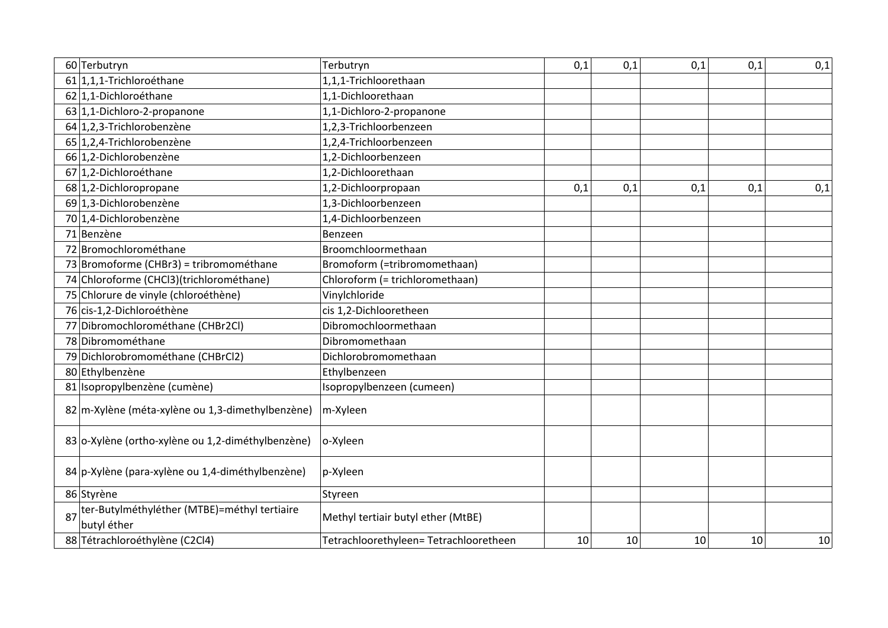|    | 60 Terbutryn                                                | Terbutryn                             | 0,1 | 0,1 | 0,1 | 0,1 | 0,1             |
|----|-------------------------------------------------------------|---------------------------------------|-----|-----|-----|-----|-----------------|
|    | $61 1,1,1$ -Trichloroéthane                                 | 1,1,1-Trichloorethaan                 |     |     |     |     |                 |
|    | 62 1,1-Dichloroéthane                                       | 1,1-Dichloorethaan                    |     |     |     |     |                 |
|    | 63 1,1-Dichloro-2-propanone                                 | 1,1-Dichloro-2-propanone              |     |     |     |     |                 |
|    | $64$ 1,2,3-Trichlorobenzène                                 | 1,2,3-Trichloorbenzeen                |     |     |     |     |                 |
|    | 65 1,2,4-Trichlorobenzène                                   | 1,2,4-Trichloorbenzeen                |     |     |     |     |                 |
|    | 66 1,2-Dichlorobenzène                                      | 1,2-Dichloorbenzeen                   |     |     |     |     |                 |
|    | 67 1,2-Dichloroéthane                                       | 1,2-Dichloorethaan                    |     |     |     |     |                 |
|    | 68 1,2-Dichloropropane                                      | 1,2-Dichloorpropaan                   | 0,1 | 0,1 | 0,1 | 0,1 | 0,1             |
|    | 69 1,3-Dichlorobenzène                                      | 1,3-Dichloorbenzeen                   |     |     |     |     |                 |
|    | 70 1,4-Dichlorobenzène                                      | 1,4-Dichloorbenzeen                   |     |     |     |     |                 |
|    | 71 Benzène                                                  | Benzeen                               |     |     |     |     |                 |
|    | 72 Bromochlorométhane                                       | Broomchloormethaan                    |     |     |     |     |                 |
|    | 73 Bromoforme (CHBr3) = tribromométhane                     | Bromoform (=tribromomethaan)          |     |     |     |     |                 |
|    | 74 Chloroforme (CHCl3)(trichlorométhane)                    | Chloroform (= trichloromethaan)       |     |     |     |     |                 |
|    | 75 Chlorure de vinyle (chloroéthène)                        | Vinylchloride                         |     |     |     |     |                 |
|    | 76 cis-1,2-Dichloroéthène                                   | cis 1,2-Dichlooretheen                |     |     |     |     |                 |
|    | 77 Dibromochlorométhane (CHBr2Cl)                           | Dibromochloormethaan                  |     |     |     |     |                 |
|    | 78 Dibromométhane                                           | Dibromomethaan                        |     |     |     |     |                 |
|    | 79 Dichlorobromométhane (CHBrCl2)                           | Dichlorobromomethaan                  |     |     |     |     |                 |
|    | 80 Ethylbenzène                                             | Ethylbenzeen                          |     |     |     |     |                 |
|    | 81 Isopropylbenzène (cumène)                                | Isopropylbenzeen (cumeen)             |     |     |     |     |                 |
|    | 82 m-Xylène (méta-xylène ou 1,3-dimethylbenzène)            | m-Xyleen                              |     |     |     |     |                 |
|    | 83 o-Xylène (ortho-xylène ou 1,2-diméthylbenzène)           | o-Xyleen                              |     |     |     |     |                 |
|    | 84 p-Xylène (para-xylène ou 1,4-diméthylbenzène)            | p-Xyleen                              |     |     |     |     |                 |
|    | 86 Styrène                                                  | Styreen                               |     |     |     |     |                 |
| 87 | ter-Butylméthyléther (MTBE)=méthyl tertiaire<br>butyl éther | Methyl tertiair butyl ether (MtBE)    |     |     |     |     |                 |
|    | 88 Tétrachloroéthylène (C2Cl4)                              | Tetrachloorethyleen=Tetrachlooretheen | 10  | 10  | 10  | 10  | 10 <sup>1</sup> |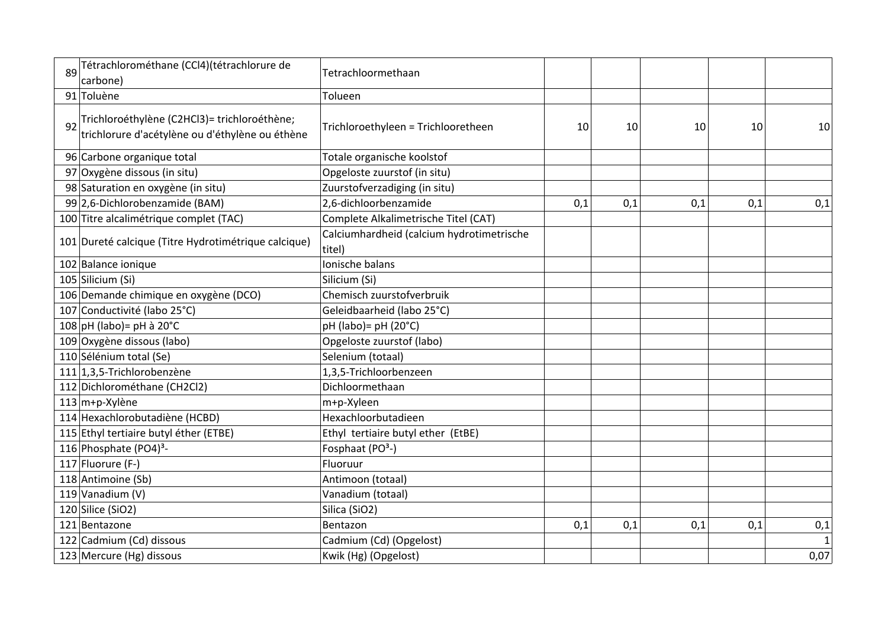| 89 | Tétrachlorométhane (CCl4)(tétrachlorure de<br>carbone)                                          | Tetrachloormethaan                                  |     |     |     |     |      |
|----|-------------------------------------------------------------------------------------------------|-----------------------------------------------------|-----|-----|-----|-----|------|
|    | 91 Toluène                                                                                      | Tolueen                                             |     |     |     |     |      |
| 92 | Trichloroéthylène (C2HCl3)= trichloroéthène;<br>trichlorure d'acétylène ou d'éthylène ou éthène | Trichloroethyleen = Trichlooretheen                 | 10  | 10  | 10  | 10  | 10   |
|    | 96 Carbone organique total                                                                      | Totale organische koolstof                          |     |     |     |     |      |
|    | 97 Oxygène dissous (in situ)                                                                    | Opgeloste zuurstof (in situ)                        |     |     |     |     |      |
|    | 98 Saturation en oxygène (in situ)                                                              | Zuurstofverzadiging (in situ)                       |     |     |     |     |      |
|    | 99 2,6-Dichlorobenzamide (BAM)                                                                  | 2,6-dichloorbenzamide                               | 0,1 | 0,1 | 0,1 | 0,1 | 0,1  |
|    | 100 Titre alcalimétrique complet (TAC)                                                          | Complete Alkalimetrische Titel (CAT)                |     |     |     |     |      |
|    | 101 Dureté calcique (Titre Hydrotimétrique calcique)                                            | Calciumhardheid (calcium hydrotimetrische<br>titel) |     |     |     |     |      |
|    | 102 Balance ionique                                                                             | Ionische balans                                     |     |     |     |     |      |
|    | 105 Silicium (Si)                                                                               | Silicium (Si)                                       |     |     |     |     |      |
|    | 106 Demande chimique en oxygène (DCO)                                                           | Chemisch zuurstofverbruik                           |     |     |     |     |      |
|    | 107 Conductivité (labo 25°C)                                                                    | Geleidbaarheid (labo 25°C)                          |     |     |     |     |      |
|    | $108$ pH (labo) = pH à 20°C                                                                     | pH (labo)= pH (20°C)                                |     |     |     |     |      |
|    | 109 Oxygène dissous (labo)                                                                      | Opgeloste zuurstof (labo)                           |     |     |     |     |      |
|    | 110 Sélénium total (Se)                                                                         | Selenium (totaal)                                   |     |     |     |     |      |
|    | 111 1,3,5-Trichlorobenzène                                                                      | 1,3,5-Trichloorbenzeen                              |     |     |     |     |      |
|    | 112 Dichlorométhane (CH2Cl2)                                                                    | Dichloormethaan                                     |     |     |     |     |      |
|    | $113 \vert m+p-X$ ylène                                                                         | m+p-Xyleen                                          |     |     |     |     |      |
|    | 114 Hexachlorobutadiène (HCBD)                                                                  | Hexachloorbutadieen                                 |     |     |     |     |      |
|    | 115 Ethyl tertiaire butyl éther (ETBE)                                                          | Ethyl tertiaire butyl ether (EtBE)                  |     |     |     |     |      |
|    | 116 Phosphate (PO4) <sup>3</sup> -                                                              | Fosphaat (PO <sup>3</sup> -)                        |     |     |     |     |      |
|    | 117 Fluorure (F-)                                                                               | Fluoruur                                            |     |     |     |     |      |
|    | 118 Antimoine (Sb)                                                                              | Antimoon (totaal)                                   |     |     |     |     |      |
|    | 119 Vanadium (V)                                                                                | Vanadium (totaal)                                   |     |     |     |     |      |
|    | 120 Silice (SiO2)                                                                               | Silica (SiO2)                                       |     |     |     |     |      |
|    | 121 Bentazone                                                                                   | Bentazon                                            | 0,1 | 0,1 | 0,1 | 0,1 | 0,1  |
|    | 122 Cadmium (Cd) dissous                                                                        | Cadmium (Cd) (Opgelost)                             |     |     |     |     | 1    |
|    | 123 Mercure (Hg) dissous                                                                        | Kwik (Hg) (Opgelost)                                |     |     |     |     | 0,07 |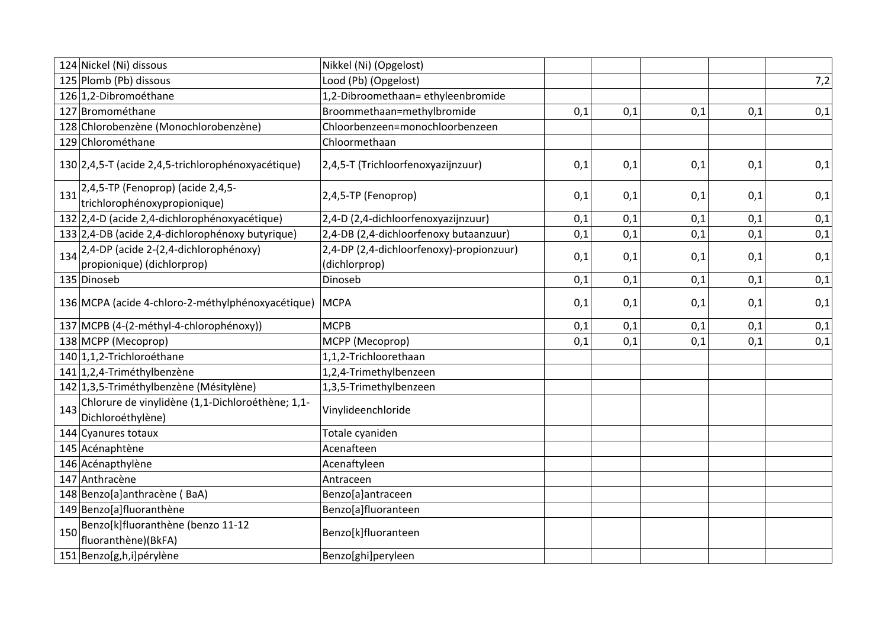|     | 124 Nickel (Ni) dissous                                               | Nikkel (Ni) (Opgelost)                                    |     |     |     |     |     |
|-----|-----------------------------------------------------------------------|-----------------------------------------------------------|-----|-----|-----|-----|-----|
|     | 125 Plomb (Pb) dissous                                                | Lood (Pb) (Opgelost)                                      |     |     |     |     | 7,2 |
|     | 126 1,2-Dibromoéthane                                                 | 1,2-Dibroomethaan=ethyleenbromide                         |     |     |     |     |     |
|     | 127 Bromométhane                                                      | Broommethaan=methylbromide                                | 0,1 | 0,1 | 0,1 | 0,1 | 0,1 |
|     | 128 Chlorobenzène (Monochlorobenzène)                                 | Chloorbenzeen=monochloorbenzeen                           |     |     |     |     |     |
|     | 129 Chlorométhane                                                     | Chloormethaan                                             |     |     |     |     |     |
|     | 130 2,4,5-T (acide 2,4,5-trichlorophénoxyacétique)                    | 2,4,5-T (Trichloorfenoxyazijnzuur)                        | 0,1 | 0,1 | 0,1 | 0,1 | 0,1 |
| 131 | 2,4,5-TP (Fenoprop) (acide 2,4,5-<br>trichlorophénoxypropionique)     | 2,4,5-TP (Fenoprop)                                       | 0,1 | 0,1 | 0,1 | 0,1 | 0,1 |
|     | 132 2,4-D (acide 2,4-dichlorophénoxyacétique)                         | 2,4-D (2,4-dichloorfenoxyazijnzuur)                       | 0,1 | 0,1 | 0,1 | 0,1 | 0,1 |
|     | 133 2,4-DB (acide 2,4-dichlorophénoxy butyrique)                      | 2,4-DB (2,4-dichloorfenoxy butaanzuur)                    | 0,1 | 0,1 | 0,1 | 0,1 | 0,1 |
| 134 | 2,4-DP (acide 2-(2,4-dichlorophénoxy)<br>propionique) (dichlorprop)   | 2,4-DP (2,4-dichloorfenoxy)-propionzuur)<br>(dichlorprop) | 0,1 | 0,1 | 0,1 | 0,1 | 0,1 |
|     | 135 Dinoseb                                                           | Dinoseb                                                   | 0,1 | 0,1 | 0,1 | 0,1 | 0,1 |
|     | 136 MCPA (acide 4-chloro-2-méthylphénoxyacétique)                     | <b>MCPA</b>                                               | 0,1 | 0,1 | 0,1 | 0,1 | 0,1 |
|     | 137 MCPB (4-(2-méthyl-4-chlorophénoxy))                               | <b>MCPB</b>                                               | 0,1 | 0,1 | 0,1 | 0,1 | 0,1 |
|     | 138 MCPP (Mecoprop)                                                   | MCPP (Mecoprop)                                           | 0,1 | 0,1 | 0,1 | 0,1 | 0,1 |
|     | 140 1,1,2-Trichloroéthane                                             | 1,1,2-Trichloorethaan                                     |     |     |     |     |     |
|     | 141 1,2,4-Triméthylbenzène                                            | 1,2,4-Trimethylbenzeen                                    |     |     |     |     |     |
|     | 142 1,3,5-Triméthylbenzène (Mésitylène)                               | 1,3,5-Trimethylbenzeen                                    |     |     |     |     |     |
| 143 | Chlorure de vinylidène (1,1-Dichloroéthène; 1,1-<br>Dichloroéthylène) | Vinylideenchloride                                        |     |     |     |     |     |
|     | 144 Cyanures totaux                                                   | Totale cyaniden                                           |     |     |     |     |     |
|     | 145 Acénaphtène                                                       | Acenafteen                                                |     |     |     |     |     |
|     | 146 Acénapthylène                                                     | Acenaftyleen                                              |     |     |     |     |     |
|     | 147 Anthracène                                                        | Antraceen                                                 |     |     |     |     |     |
|     | 148 Benzo[a]anthracène (BaA)                                          | Benzo[a]antraceen                                         |     |     |     |     |     |
|     | 149 Benzo[a]fluoranthène                                              | Benzo[a]fluoranteen                                       |     |     |     |     |     |
| 150 | Benzo[k]fluoranthène (benzo 11-12<br>fluoranthène)(BkFA)              | Benzo[k]fluoranteen                                       |     |     |     |     |     |
|     | 151 Benzo[g,h,i]pérylène                                              | Benzo[ghi]peryleen                                        |     |     |     |     |     |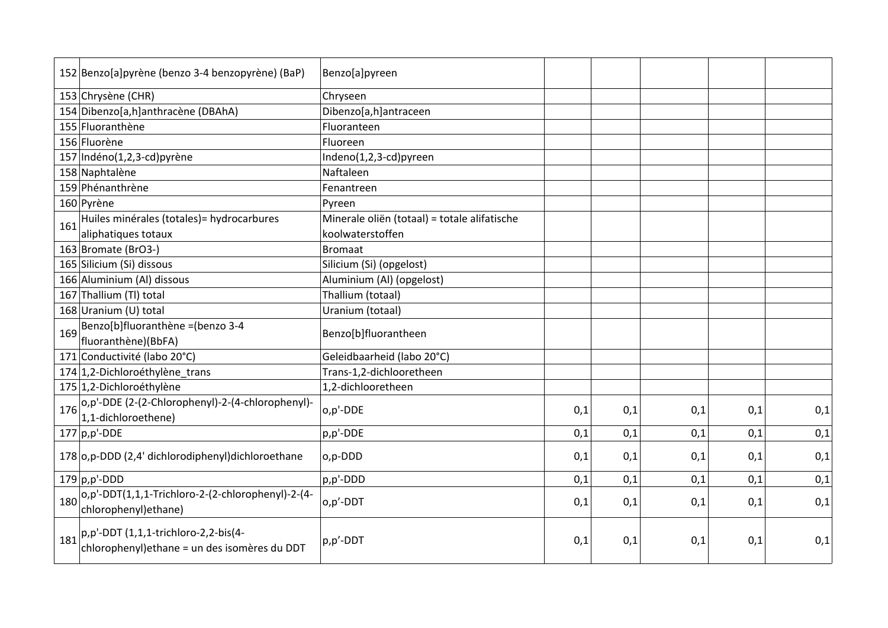|     | 152 Benzo[a]pyrène (benzo 3-4 benzopyrène) (BaP)   | Benzo[a]pyreen                               |     |     |     |     |     |
|-----|----------------------------------------------------|----------------------------------------------|-----|-----|-----|-----|-----|
|     | 153 Chrysène (CHR)                                 | Chryseen                                     |     |     |     |     |     |
|     | 154 Dibenzo[a,h]anthracène (DBAhA)                 | Dibenzo[a,h]antraceen                        |     |     |     |     |     |
|     | 155 Fluoranthène                                   | Fluoranteen                                  |     |     |     |     |     |
|     | 156 Fluorène                                       | Fluoreen                                     |     |     |     |     |     |
|     | 157 Indéno(1,2,3-cd)pyrène                         | Indeno(1,2,3-cd)pyreen                       |     |     |     |     |     |
|     | 158 Naphtalène                                     | Naftaleen                                    |     |     |     |     |     |
|     | 159 Phénanthrène                                   | Fenantreen                                   |     |     |     |     |     |
|     | 160 Pyrène                                         | Pyreen                                       |     |     |     |     |     |
| 161 | Huiles minérales (totales) = hydrocarbures         | Minerale oliën (totaal) = totale alifatische |     |     |     |     |     |
|     | aliphatiques totaux                                | koolwaterstoffen                             |     |     |     |     |     |
|     | 163 Bromate (BrO3-)                                | <b>Bromaat</b>                               |     |     |     |     |     |
|     | 165 Silicium (Si) dissous                          | Silicium (Si) (opgelost)                     |     |     |     |     |     |
|     | 166 Aluminium (Al) dissous                         | Aluminium (Al) (opgelost)                    |     |     |     |     |     |
|     | 167 Thallium (TI) total                            | Thallium (totaal)                            |     |     |     |     |     |
|     | 168 Uranium (U) total                              | Uranium (totaal)                             |     |     |     |     |     |
| 169 | Benzo[b]fluoranthène = (benzo 3-4                  |                                              |     |     |     |     |     |
|     | fluoranthène)(BbFA)                                | Benzo[b]fluorantheen                         |     |     |     |     |     |
|     | 171 Conductivité (labo 20°C)                       | Geleidbaarheid (labo 20°C)                   |     |     |     |     |     |
|     | 174 1,2-Dichloroéthylène_trans                     | Trans-1,2-dichlooretheen                     |     |     |     |     |     |
|     | 175 1,2-Dichloroéthylène                           | 1,2-dichlooretheen                           |     |     |     |     |     |
| 176 | o,p'-DDE (2-(2-Chlorophenyl)-2-(4-chlorophenyl)-   |                                              |     |     |     |     |     |
|     | 1,1-dichloroethene)                                | o,p'-DDE                                     | 0,1 | 0,1 | 0,1 | 0,1 | 0,1 |
|     | $177$ p,p'-DDE                                     | p,p'-DDE                                     | 0,1 | 0,1 | 0,1 | 0,1 | 0,1 |
|     | 178 o,p-DDD (2,4' dichlorodiphenyl) dichloroethane | o,p-DDD                                      | 0,1 | 0,1 | 0,1 | 0,1 | 0,1 |
|     |                                                    |                                              |     |     |     |     |     |
|     | $179$ p,p'-DDD                                     | p,p'-DDD                                     | 0,1 | 0,1 | 0,1 | 0,1 | 0,1 |
| 180 | o,p'-DDT(1,1,1-Trichloro-2-(2-chlorophenyl)-2-(4-  | o,p'-DDT                                     | 0,1 | 0,1 | 0,1 | 0,1 | 0,1 |
|     | chlorophenyl) ethane)                              |                                              |     |     |     |     |     |
|     | $ p,p'-DDT(1,1,1-trichloro-2,2-bis(4-$             |                                              |     |     |     |     |     |
| 181 | chlorophenyl) ethane = un des isomères du DDT      | p,p'-DDT                                     | 0,1 | 0,1 | 0,1 | 0,1 | 0,1 |
|     |                                                    |                                              |     |     |     |     |     |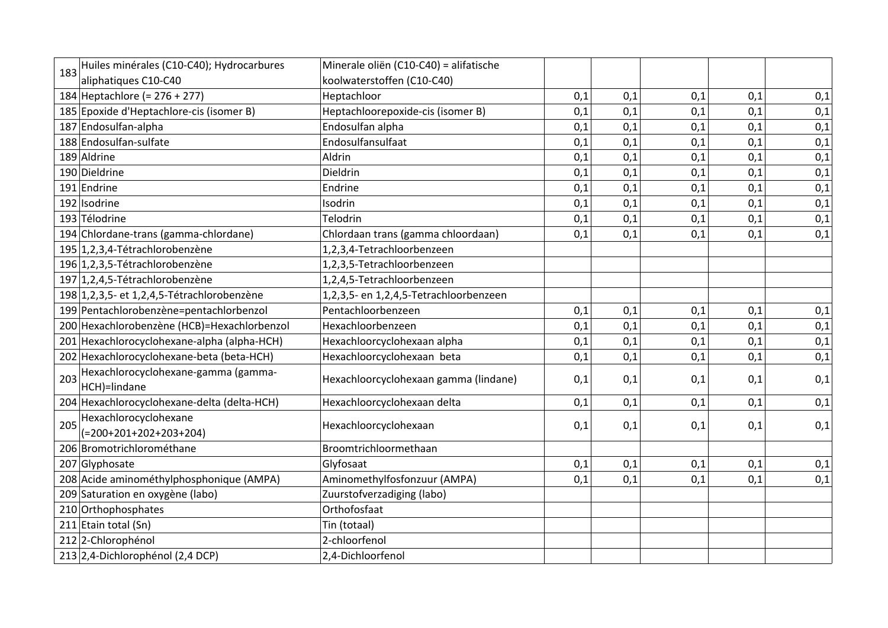| 183 | Huiles minérales (C10-C40); Hydrocarbures           | Minerale oliën (C10-C40) = alifatische |     |     |     |     |     |
|-----|-----------------------------------------------------|----------------------------------------|-----|-----|-----|-----|-----|
|     | aliphatiques C10-C40                                | koolwaterstoffen (C10-C40)             |     |     |     |     |     |
|     | 184 Heptachlore (= $276 + 277$ )                    | Heptachloor                            | 0,1 | 0,1 | 0,1 | 0,1 | 0,1 |
|     | 185 Epoxide d'Heptachlore-cis (isomer B)            | Heptachloorepoxide-cis (isomer B)      | 0,1 | 0,1 | 0,1 | 0,1 | 0,1 |
|     | 187 Endosulfan-alpha                                | Endosulfan alpha                       | 0,1 | 0,1 | 0,1 | 0,1 | 0,1 |
|     | 188 Endosulfan-sulfate                              | Endosulfansulfaat                      | 0,1 | 0,1 | 0,1 | 0,1 | 0,1 |
|     | 189 Aldrine                                         | Aldrin                                 | 0,1 | 0,1 | 0,1 | 0,1 | 0,1 |
|     | 190 Dieldrine                                       | Dieldrin                               | 0,1 | 0,1 | 0,1 | 0,1 | 0,1 |
|     | 191 Endrine                                         | Endrine                                | 0,1 | 0,1 | 0,1 | 0,1 | 0,1 |
|     | 192 Isodrine                                        | Isodrin                                | 0,1 | 0,1 | 0,1 | 0,1 | 0,1 |
|     | 193 Télodrine                                       | Telodrin                               | 0,1 | 0,1 | 0,1 | 0,1 | 0,1 |
|     | 194 Chlordane-trans (gamma-chlordane)               | Chlordaan trans (gamma chloordaan)     | 0,1 | 0,1 | 0,1 | 0,1 | 0,1 |
|     | 195 1,2,3,4-Tétrachlorobenzène                      | 1,2,3,4-Tetrachloorbenzeen             |     |     |     |     |     |
|     | 196 1,2,3,5-Tétrachlorobenzène                      | 1,2,3,5-Tetrachloorbenzeen             |     |     |     |     |     |
|     | 197 1,2,4,5-Tétrachlorobenzène                      | 1,2,4,5-Tetrachloorbenzeen             |     |     |     |     |     |
|     | 198 1, 2, 3, 5 - et 1, 2, 4, 5 - Tétrachlorobenzène | 1,2,3,5- en 1,2,4,5-Tetrachloorbenzeen |     |     |     |     |     |
|     | 199 Pentachlorobenzène=pentachlorbenzol             | Pentachloorbenzeen                     | 0,1 | 0,1 | 0,1 | 0,1 | 0,1 |
|     | 200 Hexachlorobenzène (HCB)=Hexachlorbenzol         | Hexachloorbenzeen                      | 0,1 | 0,1 | 0,1 | 0,1 | 0,1 |
|     | 201 Hexachlorocyclohexane-alpha (alpha-HCH)         | Hexachloorcyclohexaan alpha            | 0,1 | 0,1 | 0,1 | 0,1 | 0,1 |
|     | 202 Hexachlorocyclohexane-beta (beta-HCH)           | Hexachloorcyclohexaan beta             | 0,1 | 0,1 | 0,1 | 0,1 | 0,1 |
| 203 | Hexachlorocyclohexane-gamma (gamma-<br>HCH)=lindane | Hexachloorcyclohexaan gamma (lindane)  | 0,1 | 0,1 | 0,1 | 0,1 | 0,1 |
|     | 204 Hexachlorocyclohexane-delta (delta-HCH)         | Hexachloorcyclohexaan delta            | 0,1 | 0,1 | 0,1 | 0,1 | 0,1 |
| 205 | Hexachlorocyclohexane<br>$(=200+201+202+203+204)$   | Hexachloorcyclohexaan                  | 0,1 | 0,1 | 0,1 | 0,1 | 0,1 |
|     | 206 Bromotrichlorométhane                           | Broomtrichloormethaan                  |     |     |     |     |     |
|     | 207 Glyphosate                                      | Glyfosaat                              | 0,1 | 0,1 | 0,1 | 0,1 | 0,1 |
|     | 208 Acide aminométhylphosphonique (AMPA)            | Aminomethylfosfonzuur (AMPA)           | 0,1 | 0,1 | 0,1 | 0,1 | 0,1 |
|     | 209 Saturation en oxygène (labo)                    | Zuurstofverzadiging (labo)             |     |     |     |     |     |
|     | 210 Orthophosphates                                 | Orthofosfaat                           |     |     |     |     |     |
|     | 211 Etain total (Sn)                                | Tin (totaal)                           |     |     |     |     |     |
|     | 212 2-Chlorophénol                                  | 2-chloorfenol                          |     |     |     |     |     |
|     | 213 2,4-Dichlorophénol (2,4 DCP)                    | 2,4-Dichloorfenol                      |     |     |     |     |     |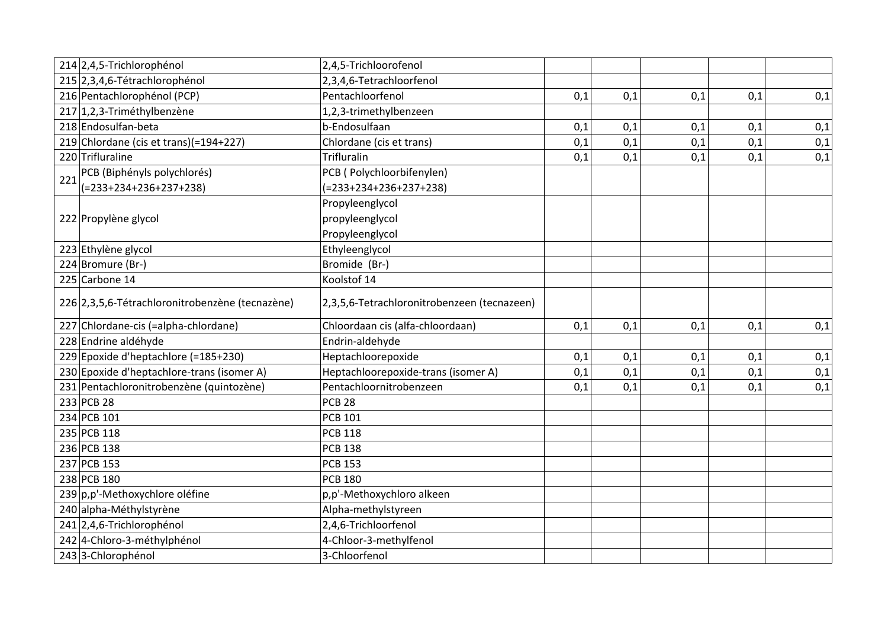|     | 214 2,4,5-Trichlorophénol                       | 2,4,5-Trichloorofenol                       |     |     |     |     |     |
|-----|-------------------------------------------------|---------------------------------------------|-----|-----|-----|-----|-----|
|     | 215 2,3,4,6-Tétrachlorophénol                   | 2,3,4,6-Tetrachloorfenol                    |     |     |     |     |     |
|     | 216 Pentachlorophénol (PCP)                     | Pentachloorfenol                            | 0,1 | 0,1 | 0,1 | 0,1 | 0,1 |
|     | 217 1,2,3-Triméthylbenzène                      | 1,2,3-trimethylbenzeen                      |     |     |     |     |     |
|     | 218 Endosulfan-beta                             | b-Endosulfaan                               | 0,1 | 0,1 | 0,1 | 0,1 | 0,1 |
|     | 219 Chlordane (cis et trans)(=194+227)          | Chlordane (cis et trans)                    | 0,1 | 0,1 | 0,1 | 0,1 | 0,1 |
|     | 220 Trifluraline                                | Trifluralin                                 | 0,1 | 0,1 | 0,1 | 0,1 | 0,1 |
| 221 | PCB (Biphényls polychlorés)                     | PCB (Polychloorbifenylen)                   |     |     |     |     |     |
|     | $(=233+234+236+237+238)$                        | $(=233+234+236+237+238)$                    |     |     |     |     |     |
|     |                                                 | Propyleenglycol                             |     |     |     |     |     |
|     | 222 Propylène glycol                            | propyleenglycol                             |     |     |     |     |     |
|     |                                                 | Propyleenglycol                             |     |     |     |     |     |
|     | 223 Ethylène glycol                             | Ethyleenglycol                              |     |     |     |     |     |
|     | 224 Bromure (Br-)                               | Bromide (Br-)                               |     |     |     |     |     |
|     | 225 Carbone 14                                  | Koolstof 14                                 |     |     |     |     |     |
|     | 226 2,3,5,6-Tétrachloronitrobenzène (tecnazène) | 2,3,5,6-Tetrachloronitrobenzeen (tecnazeen) |     |     |     |     |     |
|     | 227 Chlordane-cis (=alpha-chlordane)            | Chloordaan cis (alfa-chloordaan)            | 0,1 | 0,1 | 0,1 | 0,1 | 0,1 |
|     | 228 Endrine aldéhyde                            | Endrin-aldehyde                             |     |     |     |     |     |
|     | 229 Epoxide d'heptachlore (=185+230)            | Heptachloorepoxide                          | 0,1 | 0,1 | 0,1 | 0,1 | 0,1 |
|     | 230 Epoxide d'heptachlore-trans (isomer A)      | Heptachloorepoxide-trans (isomer A)         | 0,1 | 0,1 | 0,1 | 0,1 | 0,1 |
|     | 231 Pentachloronitrobenzène (quintozène)        | Pentachloornitrobenzeen                     | 0,1 | 0,1 | 0,1 | 0,1 | 0,1 |
|     | 233 PCB 28                                      | <b>PCB 28</b>                               |     |     |     |     |     |
|     | 234 PCB 101                                     | <b>PCB 101</b>                              |     |     |     |     |     |
|     | 235 PCB 118                                     | <b>PCB 118</b>                              |     |     |     |     |     |
|     | 236 PCB 138                                     | <b>PCB 138</b>                              |     |     |     |     |     |
|     | 237 PCB 153                                     | <b>PCB 153</b>                              |     |     |     |     |     |
|     | 238 PCB 180                                     | <b>PCB 180</b>                              |     |     |     |     |     |
|     | 239 p,p'-Methoxychlore oléfine                  | p,p'-Methoxychloro alkeen                   |     |     |     |     |     |
|     | 240 alpha-Méthylstyrène                         | Alpha-methylstyreen                         |     |     |     |     |     |
|     | 241 2,4,6-Trichlorophénol                       | 2,4,6-Trichloorfenol                        |     |     |     |     |     |
|     | 242 4-Chloro-3-méthylphénol                     | 4-Chloor-3-methylfenol                      |     |     |     |     |     |
|     | 243 3-Chlorophénol                              | 3-Chloorfenol                               |     |     |     |     |     |
|     |                                                 |                                             |     |     |     |     |     |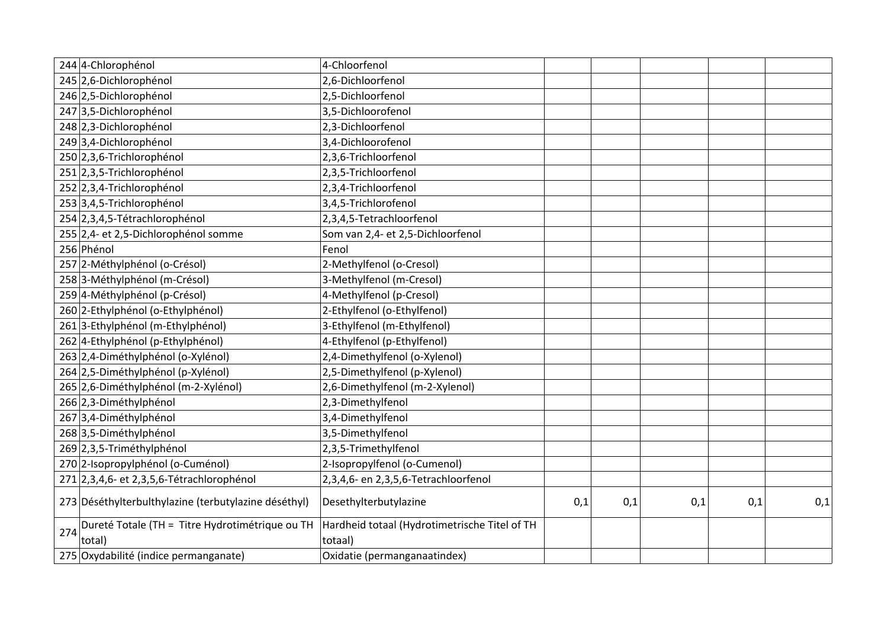| 244 4-Chlorophénol                                               | 4-Chloorfenol                                            |     |     |     |     |     |
|------------------------------------------------------------------|----------------------------------------------------------|-----|-----|-----|-----|-----|
| 245 2,6-Dichlorophénol                                           | 2,6-Dichloorfenol                                        |     |     |     |     |     |
| 246 2,5-Dichlorophénol                                           | 2,5-Dichloorfenol                                        |     |     |     |     |     |
| 247 3,5-Dichlorophénol                                           | 3,5-Dichloorofenol                                       |     |     |     |     |     |
| 248 2,3-Dichlorophénol                                           | 2,3-Dichloorfenol                                        |     |     |     |     |     |
| 249 3,4-Dichlorophénol                                           | 3,4-Dichloorofenol                                       |     |     |     |     |     |
| 250 2,3,6-Trichlorophénol                                        | 2,3,6-Trichloorfenol                                     |     |     |     |     |     |
| 251 2,3,5-Trichlorophénol                                        | 2,3,5-Trichloorfenol                                     |     |     |     |     |     |
| 252 2,3,4-Trichlorophénol                                        | 2,3,4-Trichloorfenol                                     |     |     |     |     |     |
| 253 3,4,5-Trichlorophénol                                        | 3,4,5-Trichlorofenol                                     |     |     |     |     |     |
| 254 2,3,4,5-Tétrachlorophénol                                    | 2,3,4,5-Tetrachloorfenol                                 |     |     |     |     |     |
| 255 2,4- et 2,5-Dichlorophénol somme                             | Som van 2,4- et 2,5-Dichloorfenol                        |     |     |     |     |     |
| 256 Phénol                                                       | Fenol                                                    |     |     |     |     |     |
| 257 2-Méthylphénol (o-Crésol)                                    | 2-Methylfenol (o-Cresol)                                 |     |     |     |     |     |
| 258 3-Méthylphénol (m-Crésol)                                    | 3-Methylfenol (m-Cresol)                                 |     |     |     |     |     |
| 259 4-Méthylphénol (p-Crésol)                                    | 4-Methylfenol (p-Cresol)                                 |     |     |     |     |     |
| 260 2-Ethylphénol (o-Ethylphénol)                                | 2-Ethylfenol (o-Ethylfenol)                              |     |     |     |     |     |
| 261 3-Ethylphénol (m-Ethylphénol)                                | 3-Ethylfenol (m-Ethylfenol)                              |     |     |     |     |     |
| 262 4-Ethylphénol (p-Ethylphénol)                                | 4-Ethylfenol (p-Ethylfenol)                              |     |     |     |     |     |
| 263 2,4-Diméthylphénol (o-Xylénol)                               | 2,4-Dimethylfenol (o-Xylenol)                            |     |     |     |     |     |
| 264 2,5-Diméthylphénol (p-Xylénol)                               | 2,5-Dimethylfenol (p-Xylenol)                            |     |     |     |     |     |
| 265 2,6-Diméthylphénol (m-2-Xylénol)                             | 2,6-Dimethylfenol (m-2-Xylenol)                          |     |     |     |     |     |
| 266 2,3-Diméthylphénol                                           | 2,3-Dimethylfenol                                        |     |     |     |     |     |
| 267 3,4-Diméthylphénol                                           | 3,4-Dimethylfenol                                        |     |     |     |     |     |
| 268 3,5-Diméthylphénol                                           | 3,5-Dimethylfenol                                        |     |     |     |     |     |
| 269 2,3,5-Triméthylphénol                                        | 2,3,5-Trimethylfenol                                     |     |     |     |     |     |
| 270 2-Isopropylphénol (o-Cuménol)                                | 2-Isopropylfenol (o-Cumenol)                             |     |     |     |     |     |
| 271 2,3,4,6- et 2,3,5,6-Tétrachlorophénol                        | 2,3,4,6- en 2,3,5,6-Tetrachloorfenol                     |     |     |     |     |     |
| 273 Déséthylterbulthylazine (terbutylazine déséthyl)             | Desethylterbutylazine                                    | 0,1 | 0,1 | 0,1 | 0,1 | 0,1 |
| Dureté Totale (TH = Titre Hydrotimétrique ou TH<br>274<br>total) | Hardheid totaal (Hydrotimetrische Titel of TH<br>totaal) |     |     |     |     |     |
| 275 Oxydabilité (indice permanganate)                            | Oxidatie (permanganaatindex)                             |     |     |     |     |     |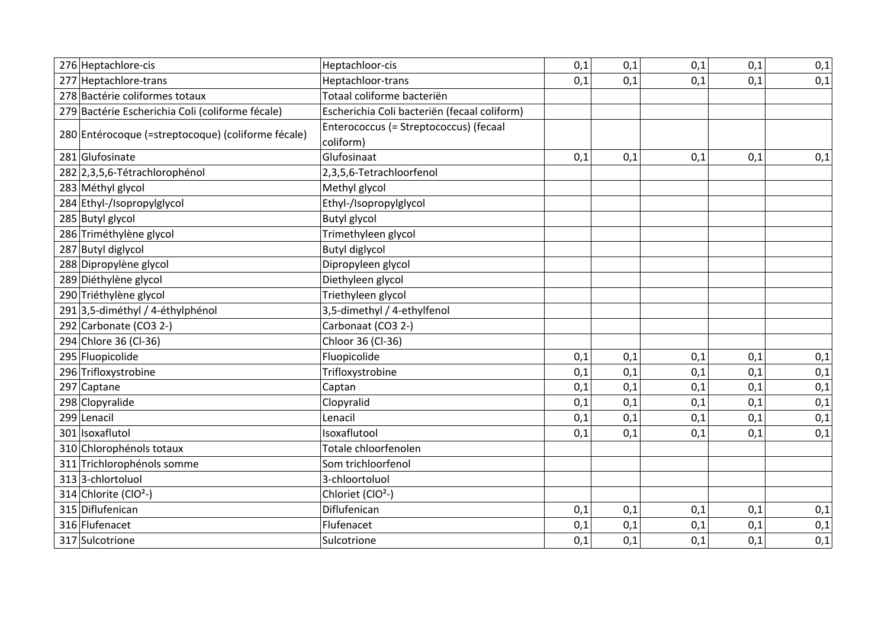| 276 Heptachlore-cis                                | Heptachloor-cis                                     | 0,1 | 0,1 | 0,1 | 0,1 | 0,1 |
|----------------------------------------------------|-----------------------------------------------------|-----|-----|-----|-----|-----|
| 277 Heptachlore-trans                              | Heptachloor-trans                                   | 0,1 | 0,1 | 0,1 | 0,1 | 0,1 |
| 278 Bactérie coliformes totaux                     | Totaal coliforme bacteriën                          |     |     |     |     |     |
| 279 Bactérie Escherichia Coli (coliforme fécale)   | Escherichia Coli bacteriën (fecaal coliform)        |     |     |     |     |     |
| 280 Entérocoque (=streptocoque) (coliforme fécale) | Enterococcus (= Streptococcus) (fecaal<br>coliform) |     |     |     |     |     |
| 281 Glufosinate                                    | Glufosinaat                                         | 0,1 | 0,1 | 0,1 | 0,1 | 0,1 |
| 282 2,3,5,6-Tétrachlorophénol                      | 2,3,5,6-Tetrachloorfenol                            |     |     |     |     |     |
| 283 Méthyl glycol                                  | Methyl glycol                                       |     |     |     |     |     |
| 284 Ethyl-/Isopropylglycol                         | Ethyl-/Isopropylglycol                              |     |     |     |     |     |
| 285 Butyl glycol                                   | <b>Butyl glycol</b>                                 |     |     |     |     |     |
| 286 Triméthylène glycol                            | Trimethyleen glycol                                 |     |     |     |     |     |
| 287 Butyl diglycol                                 | <b>Butyl diglycol</b>                               |     |     |     |     |     |
| 288 Dipropylène glycol                             | Dipropyleen glycol                                  |     |     |     |     |     |
| 289 Diéthylène glycol                              | Diethyleen glycol                                   |     |     |     |     |     |
| 290 Triéthylène glycol                             | Triethyleen glycol                                  |     |     |     |     |     |
| 291 3,5-diméthyl / 4-éthylphénol                   | 3,5-dimethyl / 4-ethylfenol                         |     |     |     |     |     |
| 292 Carbonate (CO3 2-)                             | Carbonaat (CO3 2-)                                  |     |     |     |     |     |
| 294 Chlore 36 (Cl-36)                              | Chloor 36 (Cl-36)                                   |     |     |     |     |     |
| 295 Fluopicolide                                   | Fluopicolide                                        | 0,1 | 0,1 | 0,1 | 0,1 | 0,1 |
| 296 Trifloxystrobine                               | Trifloxystrobine                                    | 0,1 | 0,1 | 0,1 | 0,1 | 0,1 |
| 297 Captane                                        | Captan                                              | 0,1 | 0,1 | 0,1 | 0,1 | 0,1 |
| 298 Clopyralide                                    | Clopyralid                                          | 0,1 | 0,1 | 0,1 | 0,1 | 0,1 |
| 299 Lenacil                                        | Lenacil                                             | 0,1 | 0,1 | 0,1 | 0,1 | 0,1 |
| 301 Isoxaflutol                                    | Isoxaflutool                                        | 0,1 | 0,1 | 0,1 | 0,1 | 0,1 |
| 310 Chlorophénols totaux                           | Totale chloorfenolen                                |     |     |     |     |     |
| 311 Trichlorophénols somme                         | Som trichloorfenol                                  |     |     |     |     |     |
| 313 3-chlortoluol                                  | 3-chloortoluol                                      |     |     |     |     |     |
| 314 Chlorite (ClO <sup>2</sup> -)                  | Chloriet (ClO <sup>2</sup> -)                       |     |     |     |     |     |
| 315 Diflufenican                                   | Diflufenican                                        | 0,1 | 0,1 | 0,1 | 0,1 | 0,1 |
| 316 Flufenacet                                     | Flufenacet                                          | 0,1 | 0,1 | 0,1 | 0,1 | 0,1 |
| 317 Sulcotrione                                    | Sulcotrione                                         | 0,1 | 0,1 | 0,1 | 0,1 | 0,1 |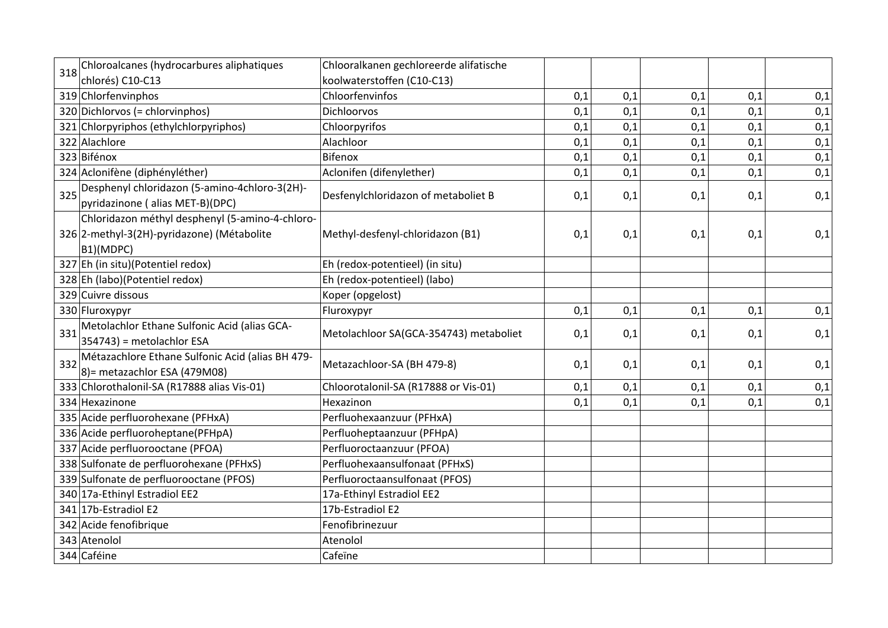| 318 | Chloroalcanes (hydrocarbures aliphatiques                                         | Chlooralkanen gechloreerde alifatische |     |     |     |     |     |
|-----|-----------------------------------------------------------------------------------|----------------------------------------|-----|-----|-----|-----|-----|
|     | chlorés) C10-C13                                                                  | koolwaterstoffen (C10-C13)             |     |     |     |     |     |
|     | 319 Chlorfenvinphos                                                               | Chloorfenvinfos                        | 0,1 | 0,1 | 0,1 | 0,1 | 0,1 |
|     | 320 Dichlorvos (= chlorvinphos)                                                   | <b>Dichloorvos</b>                     | 0,1 | 0,1 | 0,1 | 0,1 | 0,1 |
|     | 321 Chlorpyriphos (ethylchlorpyriphos)                                            | Chloorpyrifos                          | 0,1 | 0,1 | 0,1 | 0,1 | 0,1 |
|     | 322 Alachlore                                                                     | Alachloor                              | 0,1 | 0,1 | 0,1 | 0,1 | 0,1 |
|     | 323 Bifénox                                                                       | Bifenox                                | 0,1 | 0,1 | 0,1 | 0,1 | 0,1 |
|     | 324 Aclonifène (diphényléther)                                                    | Aclonifen (difenylether)               | 0,1 | 0,1 | 0,1 | 0,1 | 0,1 |
| 325 | Desphenyl chloridazon (5-amino-4chloro-3(2H)-<br>pyridazinone (alias MET-B)(DPC)  | Desfenylchloridazon of metaboliet B    | 0,1 | 0,1 | 0,1 | 0,1 | 0,1 |
|     | Chloridazon méthyl desphenyl (5-amino-4-chloro-                                   |                                        |     |     |     |     |     |
|     | 326 2-methyl-3(2H)-pyridazone) (Métabolite                                        | Methyl-desfenyl-chloridazon (B1)       | 0,1 | 0,1 | 0,1 | 0,1 | 0,1 |
|     | B1)(MDPC)                                                                         |                                        |     |     |     |     |     |
|     | 327 Eh (in situ)(Potentiel redox)                                                 | Eh (redox-potentieel) (in situ)        |     |     |     |     |     |
|     | 328 Eh (labo)(Potentiel redox)                                                    | Eh (redox-potentieel) (labo)           |     |     |     |     |     |
|     | 329 Cuivre dissous                                                                | Koper (opgelost)                       |     |     |     |     |     |
|     | 330 Fluroxypyr                                                                    | Fluroxypyr                             | 0,1 | 0,1 | 0,1 | 0,1 | 0,1 |
| 331 | Metolachlor Ethane Sulfonic Acid (alias GCA-                                      | Metolachloor SA(GCA-354743) metaboliet | 0,1 | 0,1 | 0,1 | 0,1 | 0,1 |
|     | 354743) = metolachlor ESA                                                         |                                        |     |     |     |     |     |
| 332 | Métazachlore Ethane Sulfonic Acid (alias BH 479-<br>8) = metazachlor ESA (479M08) | Metazachloor-SA (BH 479-8)             | 0,1 | 0,1 | 0,1 | 0,1 | 0,1 |
|     | 333 Chlorothalonil-SA (R17888 alias Vis-01)                                       | Chloorotalonil-SA (R17888 or Vis-01)   | 0,1 | 0,1 | 0,1 | 0,1 | 0,1 |
|     | 334 Hexazinone                                                                    | Hexazinon                              | 0,1 | 0,1 | 0,1 | 0,1 | 0,1 |
|     | 335 Acide perfluorohexane (PFHxA)                                                 | Perfluohexaanzuur (PFHxA)              |     |     |     |     |     |
|     | 336 Acide perfluoroheptane(PFHpA)                                                 | Perfluoheptaanzuur (PFHpA)             |     |     |     |     |     |
|     | 337 Acide perfluorooctane (PFOA)                                                  | Perfluoroctaanzuur (PFOA)              |     |     |     |     |     |
|     | 338 Sulfonate de perfluorohexane (PFHxS)                                          | Perfluohexaansulfonaat (PFHxS)         |     |     |     |     |     |
|     | 339 Sulfonate de perfluorooctane (PFOS)                                           | Perfluoroctaansulfonaat (PFOS)         |     |     |     |     |     |
|     | 340 17a-Ethinyl Estradiol EE2                                                     | 17a-Ethinyl Estradiol EE2              |     |     |     |     |     |
|     | 341 17b-Estradiol E2                                                              | 17b-Estradiol E2                       |     |     |     |     |     |
|     | 342 Acide fenofibrique                                                            | Fenofibrinezuur                        |     |     |     |     |     |
|     | 343 Atenolol                                                                      | Atenolol                               |     |     |     |     |     |
|     | 344 Caféine                                                                       | Cafeïne                                |     |     |     |     |     |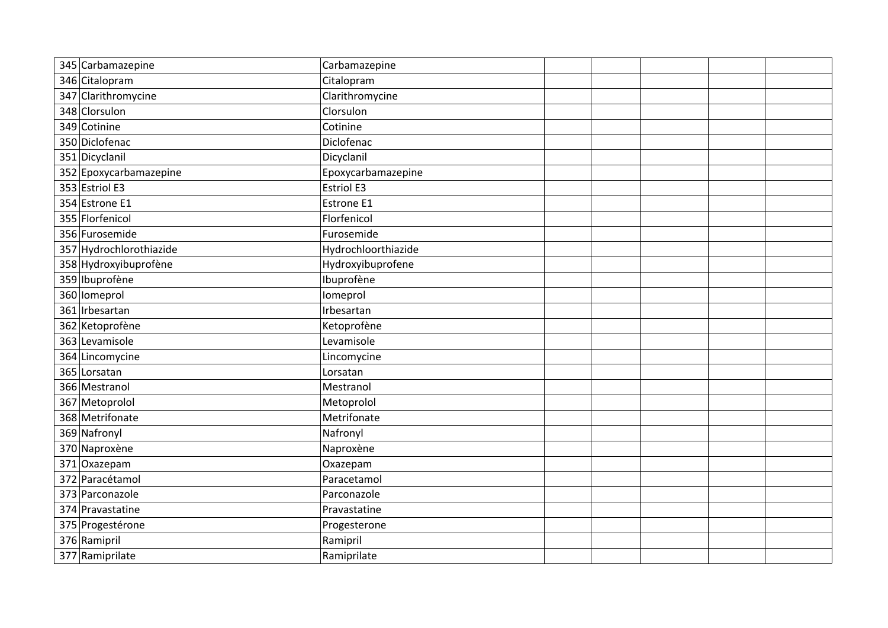| 345 Carbamazepine       | Carbamazepine       |  |  |
|-------------------------|---------------------|--|--|
| 346 Citalopram          | Citalopram          |  |  |
| 347 Clarithromycine     | Clarithromycine     |  |  |
| 348 Clorsulon           | Clorsulon           |  |  |
| 349 Cotinine            | Cotinine            |  |  |
| 350 Diclofenac          | Diclofenac          |  |  |
| 351 Dicyclanil          | Dicyclanil          |  |  |
| 352 Epoxycarbamazepine  | Epoxycarbamazepine  |  |  |
| 353 Estriol E3          | <b>Estriol E3</b>   |  |  |
| 354 Estrone E1          | Estrone E1          |  |  |
| 355 Florfenicol         | Florfenicol         |  |  |
| 356 Furosemide          | Furosemide          |  |  |
| 357 Hydrochlorothiazide | Hydrochloorthiazide |  |  |
| 358 Hydroxyibuprofène   | Hydroxyibuprofene   |  |  |
| 359 Ibuprofène          | Ibuprofène          |  |  |
| 360 lomeprol            | Iomeprol            |  |  |
| 361 Irbesartan          | Irbesartan          |  |  |
| 362 Ketoprofène         | Ketoprofène         |  |  |
| 363 Levamisole          | Levamisole          |  |  |
| 364 Lincomycine         | Lincomycine         |  |  |
| 365 Lorsatan            | Lorsatan            |  |  |
| 366 Mestranol           | Mestranol           |  |  |
| 367 Metoprolol          | Metoprolol          |  |  |
| 368 Metrifonate         | Metrifonate         |  |  |
| 369 Nafronyl            | Nafronyl            |  |  |
| 370 Naproxène           | Naproxène           |  |  |
| 371 Oxazepam            | Oxazepam            |  |  |
| 372 Paracétamol         | Paracetamol         |  |  |
| 373 Parconazole         | Parconazole         |  |  |
| 374 Pravastatine        | Pravastatine        |  |  |
| 375 Progestérone        | Progesterone        |  |  |
| 376 Ramipril            | Ramipril            |  |  |
| 377 Ramiprilate         | Ramiprilate         |  |  |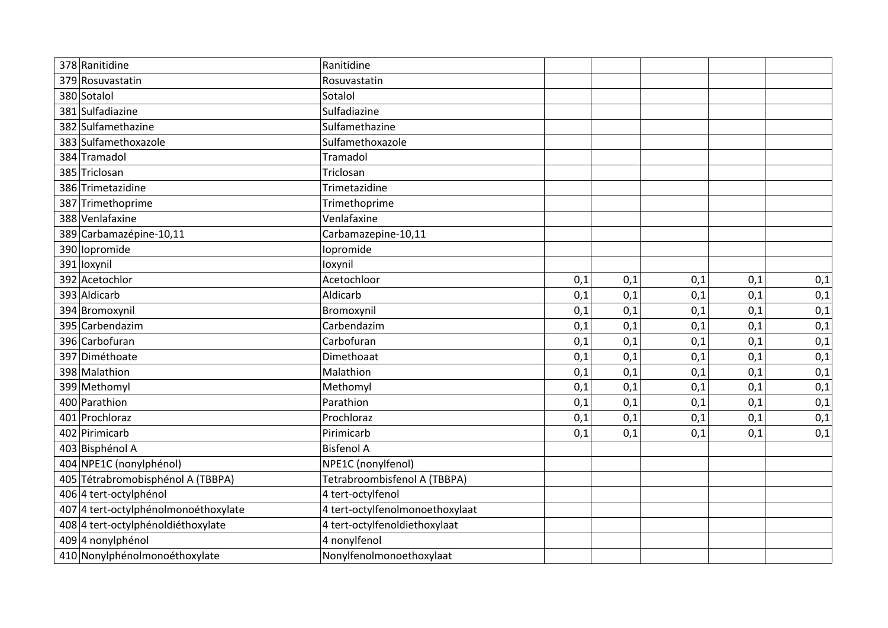| 378 Ranitidine                       | Ranitidine                      |     |     |     |     |     |
|--------------------------------------|---------------------------------|-----|-----|-----|-----|-----|
| 379 Rosuvastatin                     | Rosuvastatin                    |     |     |     |     |     |
| 380 Sotalol                          | Sotalol                         |     |     |     |     |     |
| 381 Sulfadiazine                     | Sulfadiazine                    |     |     |     |     |     |
| 382 Sulfamethazine                   | Sulfamethazine                  |     |     |     |     |     |
| 383 Sulfamethoxazole                 | Sulfamethoxazole                |     |     |     |     |     |
| 384 Tramadol                         | Tramadol                        |     |     |     |     |     |
| 385 Triclosan                        | Triclosan                       |     |     |     |     |     |
| 386 Trimetazidine                    | Trimetazidine                   |     |     |     |     |     |
| 387 Trimethoprime                    | Trimethoprime                   |     |     |     |     |     |
| 388 Venlafaxine                      | Venlafaxine                     |     |     |     |     |     |
| 389 Carbamazépine-10,11              | Carbamazepine-10,11             |     |     |     |     |     |
| 390 lopromide                        | Iopromide                       |     |     |     |     |     |
| 391 loxynil                          | loxynil                         |     |     |     |     |     |
| 392 Acetochlor                       | Acetochloor                     | 0,1 | 0,1 | 0,1 | 0,1 | 0,1 |
| 393 Aldicarb                         | Aldicarb                        | 0,1 | 0,1 | 0,1 | 0,1 | 0,1 |
| 394 Bromoxynil                       | Bromoxynil                      | 0,1 | 0,1 | 0,1 | 0,1 | 0,1 |
| 395 Carbendazim                      | Carbendazim                     | 0,1 | 0,1 | 0,1 | 0,1 | 0,1 |
| 396 Carbofuran                       | Carbofuran                      | 0,1 | 0,1 | 0,1 | 0,1 | 0,1 |
| 397 Diméthoate                       | Dimethoaat                      | 0,1 | 0,1 | 0,1 | 0,1 | 0,1 |
| 398 Malathion                        | Malathion                       | 0,1 | 0,1 | 0,1 | 0,1 | 0,1 |
| 399 Methomyl                         | Methomyl                        | 0,1 | 0,1 | 0,1 | 0,1 | 0,1 |
| 400 Parathion                        | Parathion                       | 0,1 | 0,1 | 0,1 | 0,1 | 0,1 |
| 401 Prochloraz                       | Prochloraz                      | 0,1 | 0,1 | 0,1 | 0,1 | 0,1 |
| 402 Pirimicarb                       | Pirimicarb                      | 0,1 | 0,1 | 0,1 | 0,1 | 0,1 |
| 403 Bisphénol A                      | <b>Bisfenol A</b>               |     |     |     |     |     |
| 404 NPE1C (nonylphénol)              | NPE1C (nonylfenol)              |     |     |     |     |     |
| 405 Tétrabromobisphénol A (TBBPA)    | Tetrabroombisfenol A (TBBPA)    |     |     |     |     |     |
| 406 4 tert-octylphénol               | 4 tert-octylfenol               |     |     |     |     |     |
| 407 4 tert-octylphénolmonoéthoxylate | 4 tert-octylfenolmonoethoxylaat |     |     |     |     |     |
| 408 4 tert-octylphénoldiéthoxylate   | 4 tert-octylfenoldiethoxylaat   |     |     |     |     |     |
| 409 4 nonylphénol                    | 4 nonylfenol                    |     |     |     |     |     |
| 410 Nonylphénolmonoéthoxylate        | Nonylfenolmonoethoxylaat        |     |     |     |     |     |
|                                      |                                 |     |     |     |     |     |